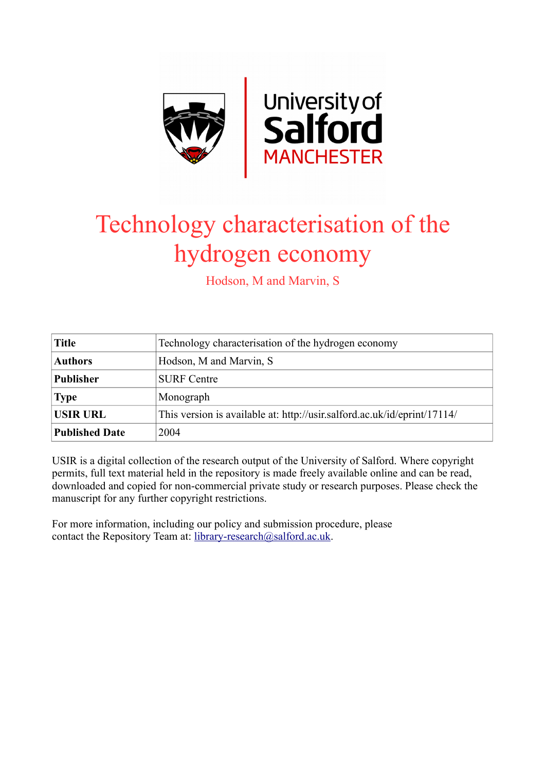

## Technology characterisation of the hydrogen economy

Hodson, M and Marvin, S

| <b>Title</b>          | Technology characterisation of the hydrogen economy                      |
|-----------------------|--------------------------------------------------------------------------|
| <b>Authors</b>        | Hodson, M and Marvin, S                                                  |
| <b>Publisher</b>      | <b>SURF</b> Centre                                                       |
| <b>Type</b>           | Monograph                                                                |
| <b>USIR URL</b>       | This version is available at: http://usir.salford.ac.uk/id/eprint/17114/ |
| <b>Published Date</b> | 2004                                                                     |

USIR is a digital collection of the research output of the University of Salford. Where copyright permits, full text material held in the repository is made freely available online and can be read, downloaded and copied for non-commercial private study or research purposes. Please check the manuscript for any further copyright restrictions.

For more information, including our policy and submission procedure, please contact the Repository Team at: [library-research@salford.ac.uk.](mailto:library-research@salford.ac.uk)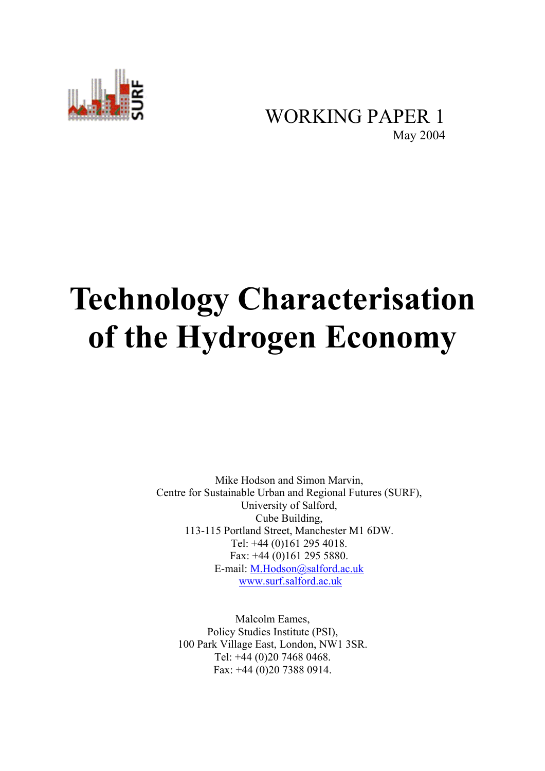

## WORKING PAPER 1<br>May 2004

# **Technology Characterisation of the Hydrogen Economy**

Mike Hodson and Simon Marvin, Centre for Sustainable Urban and Regional Futures (SURF), University of Salford, Cube Building, 113-115 Portland Street, Manchester M1 6DW. Tel: +44 (0)161 295 4018. Fax: +44 (0)161 295 5880. E-mail: M.Hodson@salford.ac.uk www.surf.salford.ac.uk

Malcolm Eames, Policy Studies Institute (PSI), 100 Park Village East, London, NW1 3SR. Tel: +44 (0)20 7468 0468. Fax: +44 (0)20 7388 0914.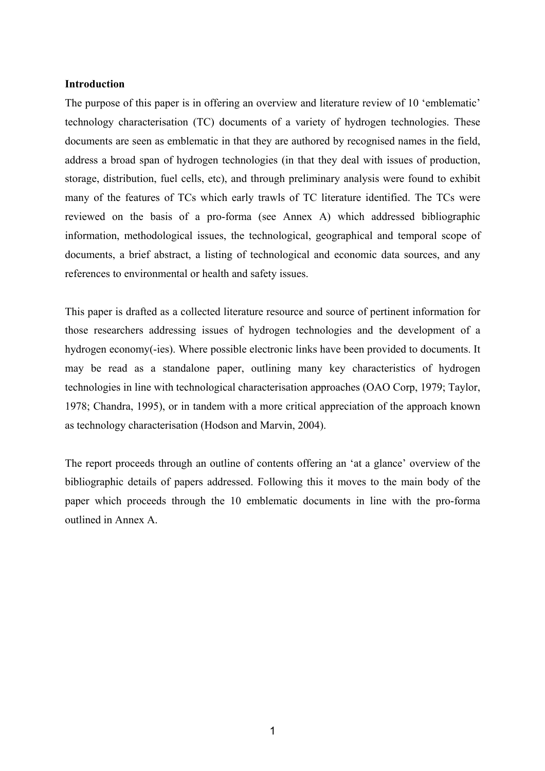#### **Introduction**

The purpose of this paper is in offering an overview and literature review of 10 'emblematic' technology characterisation (TC) documents of a variety of hydrogen technologies. These documents are seen as emblematic in that they are authored by recognised names in the field, address a broad span of hydrogen technologies (in that they deal with issues of production, storage, distribution, fuel cells, etc), and through preliminary analysis were found to exhibit many of the features of TCs which early trawls of TC literature identified. The TCs were reviewed on the basis of a pro-forma (see Annex A) which addressed bibliographic information, methodological issues, the technological, geographical and temporal scope of documents, a brief abstract, a listing of technological and economic data sources, and any references to environmental or health and safety issues.

This paper is drafted as a collected literature resource and source of pertinent information for those researchers addressing issues of hydrogen technologies and the development of a hydrogen economy(-ies). Where possible electronic links have been provided to documents. It may be read as a standalone paper, outlining many key characteristics of hydrogen technologies in line with technological characterisation approaches (OAO Corp, 1979; Taylor, 1978; Chandra, 1995), or in tandem with a more critical appreciation of the approach known as technology characterisation (Hodson and Marvin, 2004).

The report proceeds through an outline of contents offering an 'at a glance' overview of the bibliographic details of papers addressed. Following this it moves to the main body of the paper which proceeds through the 10 emblematic documents in line with the pro-forma outlined in Annex A.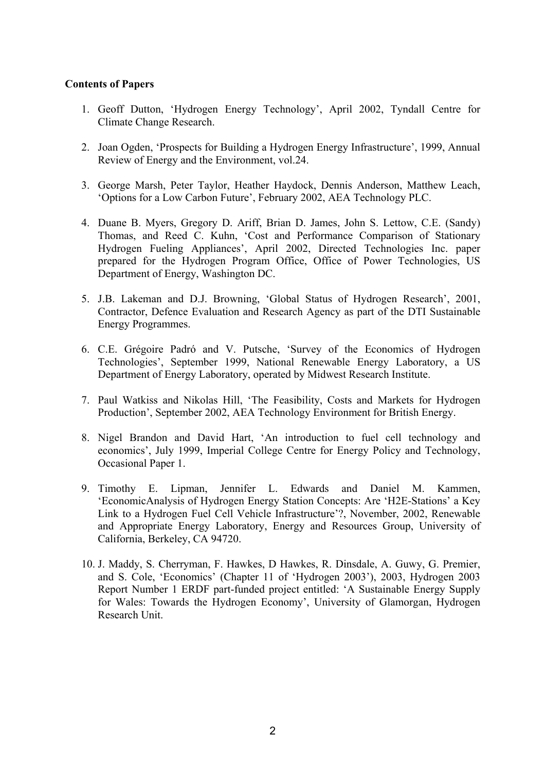### **Contents of Papers**

- 1. Geoff Dutton, 'Hydrogen Energy Technology', April 2002, Tyndall Centre for Climate Change Research.
- 2. Joan Ogden, 'Prospects for Building a Hydrogen Energy Infrastructure', 1999, Annual Review of Energy and the Environment, vol.24.
- 3. George Marsh, Peter Taylor, Heather Haydock, Dennis Anderson, Matthew Leach, 'Options for a Low Carbon Future', February 2002, AEA Technology PLC.
- 4. Duane B. Myers, Gregory D. Ariff, Brian D. James, John S. Lettow, C.E. (Sandy) Thomas, and Reed C. Kuhn, 'Cost and Performance Comparison of Stationary Hydrogen Fueling Appliances', April 2002, Directed Technologies Inc. paper prepared for the Hydrogen Program Office, Office of Power Technologies, US Department of Energy, Washington DC.
- 5. J.B. Lakeman and D.J. Browning, 'Global Status of Hydrogen Research', 2001, Contractor, Defence Evaluation and Research Agency as part of the DTI Sustainable Energy Programmes.
- 6. C.E. Grégoire Padró and V. Putsche, 'Survey of the Economics of Hydrogen Technologies', September 1999, National Renewable Energy Laboratory, a US Department of Energy Laboratory, operated by Midwest Research Institute.
- 7. Paul Watkiss and Nikolas Hill, 'The Feasibility, Costs and Markets for Hydrogen Production', September 2002, AEA Technology Environment for British Energy.
- 8. Nigel Brandon and David Hart, 'An introduction to fuel cell technology and economics', July 1999, Imperial College Centre for Energy Policy and Technology, Occasional Paper 1.
- 9. Timothy E. Lipman, Jennifer L. Edwards and Daniel M. Kammen, 'EconomicAnalysis of Hydrogen Energy Station Concepts: Are 'H2E-Stations' a Key Link to a Hydrogen Fuel Cell Vehicle Infrastructure'?, November, 2002, Renewable and Appropriate Energy Laboratory, Energy and Resources Group, University of California, Berkeley, CA 94720.
- 10. J. Maddy, S. Cherryman, F. Hawkes, D Hawkes, R. Dinsdale, A. Guwy, G. Premier, and S. Cole, 'Economics' (Chapter 11 of 'Hydrogen 2003'), 2003, Hydrogen 2003 Report Number 1 ERDF part-funded project entitled: 'A Sustainable Energy Supply for Wales: Towards the Hydrogen Economy', University of Glamorgan, Hydrogen Research Unit.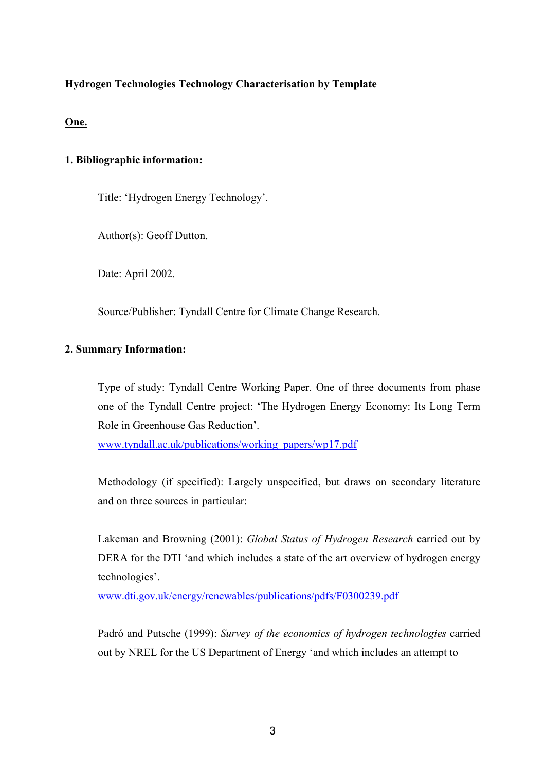### **Hydrogen Technologies Technology Characterisation by Template**

#### **One.**

### **1. Bibliographic information:**

Title: 'Hydrogen Energy Technology'.

Author(s): Geoff Dutton.

Date: April 2002.

Source/Publisher: Tyndall Centre for Climate Change Research.

### **2. Summary Information:**

Type of study: Tyndall Centre Working Paper. One of three documents from phase one of the Tyndall Centre project: 'The Hydrogen Energy Economy: Its Long Term Role in Greenhouse Gas Reduction'.

www.tyndall.ac.uk/publications/working\_papers/wp17.pdf

Methodology (if specified): Largely unspecified, but draws on secondary literature and on three sources in particular:

Lakeman and Browning (2001): *Global Status of Hydrogen Research* carried out by DERA for the DTI 'and which includes a state of the art overview of hydrogen energy technologies'.

www.dti.gov.uk/energy/renewables/publications/pdfs/F0300239.pdf

Padró and Putsche (1999): *Survey of the economics of hydrogen technologies* carried out by NREL for the US Department of Energy 'and which includes an attempt to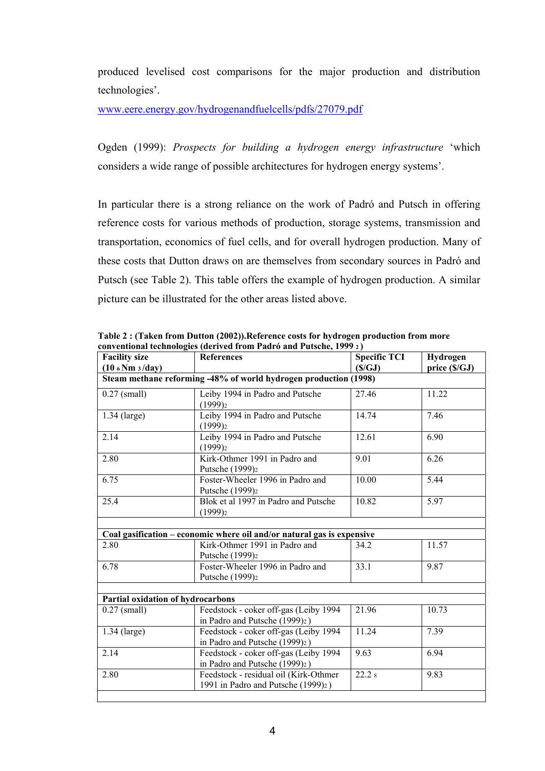produced levelised cost comparisons for the major production and distribution technologies'.

www.eere.energy.gov/hydrogenandfuelcells/pdfs/27079.pdf

Ogden (1999): *Prospects for building a hydrogen energy infrastructure* 'which considers a wide range of possible architectures for hydrogen energy systems'.

In particular there is a strong reliance on the work of Padró and Putsch in offering reference costs for various methods of production, storage systems, transmission and transportation, economics of fuel cells, and for overall hydrogen production. Many of these costs that Dutton draws on are themselves from secondary sources in Padró and Putsch (see Table 2). This table offers the example of hydrogen production. A similar picture can be illustrated for the other areas listed above.

| <b>Facility size</b>                                             | References                                                                                           | <b>Specific TCI</b> | Hydrogen      |  |  |  |
|------------------------------------------------------------------|------------------------------------------------------------------------------------------------------|---------------------|---------------|--|--|--|
| $(10.6 \text{ Nm } 3/\text{day})$                                |                                                                                                      | (S/GJ)              | price (\$/GJ) |  |  |  |
| Steam methane reforming -48% of world hydrogen production (1998) |                                                                                                      |                     |               |  |  |  |
| $0.27$ (small)                                                   | Leiby 1994 in Padro and Putsche<br>(1999)2                                                           | 27.46               | 11.22         |  |  |  |
| $1.34$ (large)                                                   | Leiby 1994 in Padro and Putsche<br>$(1999)_{2}$                                                      | 14.74               | 7.46          |  |  |  |
| 2.14                                                             | Leiby 1994 in Padro and Putsche<br>(1999)2                                                           | 12.61               | 6.90          |  |  |  |
| 2.80                                                             | Kirk-Othmer 1991 in Padro and<br>Putsche (1999) <sub>2</sub>                                         | 9.01                | 6.26          |  |  |  |
| 6.75                                                             | Foster-Wheeler 1996 in Padro and<br>Putsche (1999) <sub>2</sub>                                      | 10.00               | 5.44          |  |  |  |
| 25.4                                                             | Blok et al 1997 in Padro and Putsche<br>(1999)2                                                      | 10.82               | 5.97          |  |  |  |
|                                                                  |                                                                                                      |                     |               |  |  |  |
|                                                                  | Coal gasification – economic where oil and/or natural gas is expensive                               |                     |               |  |  |  |
| 2.80                                                             | Kirk-Othmer 1991 in Padro and<br>Putsche (1999) <sub>2</sub>                                         | 34.2                | 11.57         |  |  |  |
| 6.78                                                             | Foster-Wheeler 1996 in Padro and<br>Putsche (1999) <sub>2</sub>                                      | 33.1                | 9.87          |  |  |  |
|                                                                  |                                                                                                      |                     |               |  |  |  |
| Partial oxidation of hydrocarbons                                |                                                                                                      |                     |               |  |  |  |
| $0.27$ (small)                                                   | Feedstock - coker off-gas (Leiby 1994<br>in Padro and Putsche (1999)2)                               | 21.96               | 10.73         |  |  |  |
| $1.34$ (large)                                                   | 11.24<br>7.39<br>Feedstock - coker off-gas (Leiby 1994<br>in Padro and Putsche (1999) <sub>2</sub> ) |                     |               |  |  |  |
| 2.14                                                             | 9.63<br>Feedstock - coker off-gas (Leiby 1994<br>6.94<br>in Padro and Putsche (1999)2)               |                     |               |  |  |  |
| 2.80                                                             | Feedstock - residual oil (Kirk-Othmer<br>1991 in Padro and Putsche (1999)2)                          | 22.28               | 9.83          |  |  |  |
|                                                                  |                                                                                                      |                     |               |  |  |  |

**Table 2 : (Taken from Dutton (2002)).Reference costs for hydrogen production from more conventional technologies (derived from Padró and Putsche, 1999 2 )**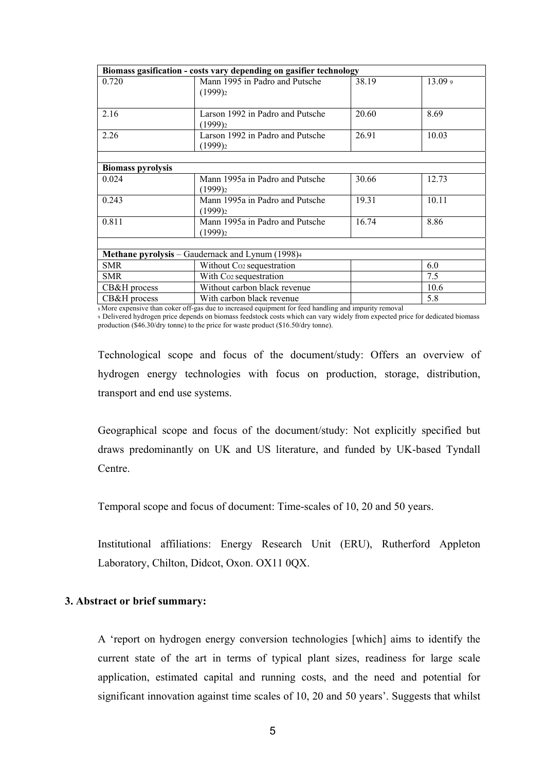| Biomass gasification - costs vary depending on gasifier technology |                                                  |       |         |  |  |
|--------------------------------------------------------------------|--------------------------------------------------|-------|---------|--|--|
| 0.720                                                              | Mann 1995 in Padro and Putsche                   | 38.19 | 13.09 9 |  |  |
|                                                                    | $(1999)_{2}$                                     |       |         |  |  |
|                                                                    |                                                  |       |         |  |  |
| 2.16                                                               | Larson 1992 in Padro and Putsche                 | 20.60 | 8.69    |  |  |
|                                                                    | $(1999)_{2}$                                     |       |         |  |  |
| 2.26                                                               | Larson 1992 in Padro and Putsche                 | 26.91 | 10.03   |  |  |
|                                                                    | $(1999)_{2}$                                     |       |         |  |  |
|                                                                    |                                                  |       |         |  |  |
| <b>Biomass pyrolysis</b>                                           |                                                  |       |         |  |  |
| 0.024                                                              | Mann 1995a in Padro and Putsche                  | 30.66 | 12.73   |  |  |
|                                                                    | $(1999)_{2}$                                     |       |         |  |  |
| 0.243                                                              | Mann 1995a in Padro and Putsche                  | 19.31 | 10.11   |  |  |
|                                                                    | $(1999)_{2}$                                     |       |         |  |  |
| 0.811                                                              | Mann 1995a in Padro and Putsche                  | 16.74 | 8.86    |  |  |
|                                                                    | $(1999)_{2}$                                     |       |         |  |  |
|                                                                    |                                                  |       |         |  |  |
|                                                                    | Methane pyrolysis – Gaudernack and Lynum (1998)4 |       |         |  |  |
| <b>SMR</b>                                                         | Without Co <sub>2</sub> sequestration            |       | 6.0     |  |  |
| <b>SMR</b>                                                         | With Co <sub>2</sub> sequestration               |       | 7.5     |  |  |
| CB&H process                                                       | Without carbon black revenue                     |       | 10.6    |  |  |
| CB&H process                                                       | With carbon black revenue                        |       | 5.8     |  |  |

8 More expensive than coker off-gas due to increased equipment for feed handling and impurity removal

<sup>9</sup> Delivered hydrogen price depends on biomass feedstock costs which can vary widely from expected price for dedicated biomass production ( $\sqrt{346.30}$ /dry tonne) to the price for waste product ( $\$16.50$ /dry tonne).

Technological scope and focus of the document/study: Offers an overview of hydrogen energy technologies with focus on production, storage, distribution, transport and end use systems.

Geographical scope and focus of the document/study: Not explicitly specified but draws predominantly on UK and US literature, and funded by UK-based Tyndall Centre.

Temporal scope and focus of document: Time-scales of 10, 20 and 50 years.

Institutional affiliations: Energy Research Unit (ERU), Rutherford Appleton Laboratory, Chilton, Didcot, Oxon. OX11 0QX.

#### **3. Abstract or brief summary:**

A 'report on hydrogen energy conversion technologies [which] aims to identify the current state of the art in terms of typical plant sizes, readiness for large scale application, estimated capital and running costs, and the need and potential for significant innovation against time scales of 10, 20 and 50 years'. Suggests that whilst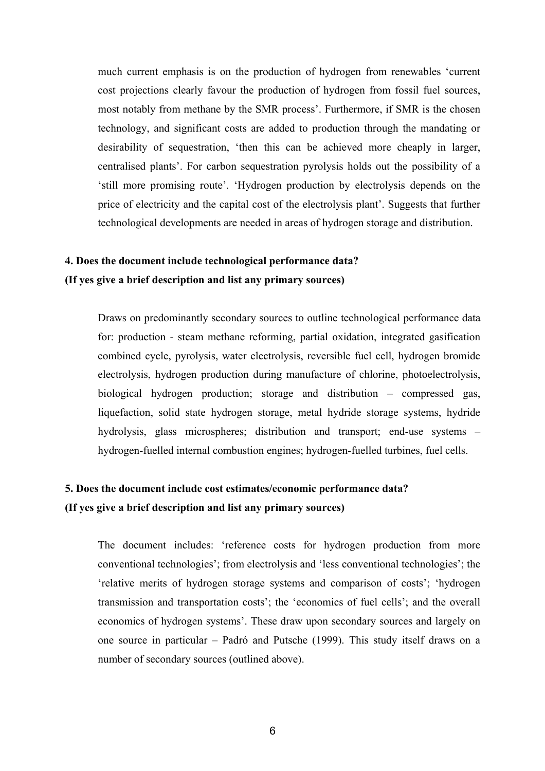much current emphasis is on the production of hydrogen from renewables 'current cost projections clearly favour the production of hydrogen from fossil fuel sources, most notably from methane by the SMR process'. Furthermore, if SMR is the chosen technology, and significant costs are added to production through the mandating or desirability of sequestration, 'then this can be achieved more cheaply in larger, centralised plants'. For carbon sequestration pyrolysis holds out the possibility of a 'still more promising route'. 'Hydrogen production by electrolysis depends on the price of electricity and the capital cost of the electrolysis plant'. Suggests that further technological developments are needed in areas of hydrogen storage and distribution.

### **4. Does the document include technological performance data? (If yes give a brief description and list any primary sources)**

Draws on predominantly secondary sources to outline technological performance data for: production - steam methane reforming, partial oxidation, integrated gasification combined cycle, pyrolysis, water electrolysis, reversible fuel cell, hydrogen bromide electrolysis, hydrogen production during manufacture of chlorine, photoelectrolysis, biological hydrogen production; storage and distribution – compressed gas, liquefaction, solid state hydrogen storage, metal hydride storage systems, hydride hydrolysis, glass microspheres; distribution and transport; end-use systems – hydrogen-fuelled internal combustion engines; hydrogen-fuelled turbines, fuel cells.

### **5. Does the document include cost estimates/economic performance data? (If yes give a brief description and list any primary sources)**

The document includes: 'reference costs for hydrogen production from more conventional technologies'; from electrolysis and 'less conventional technologies'; the 'relative merits of hydrogen storage systems and comparison of costs'; 'hydrogen transmission and transportation costs'; the 'economics of fuel cells'; and the overall economics of hydrogen systems'. These draw upon secondary sources and largely on one source in particular – Padró and Putsche (1999). This study itself draws on a number of secondary sources (outlined above).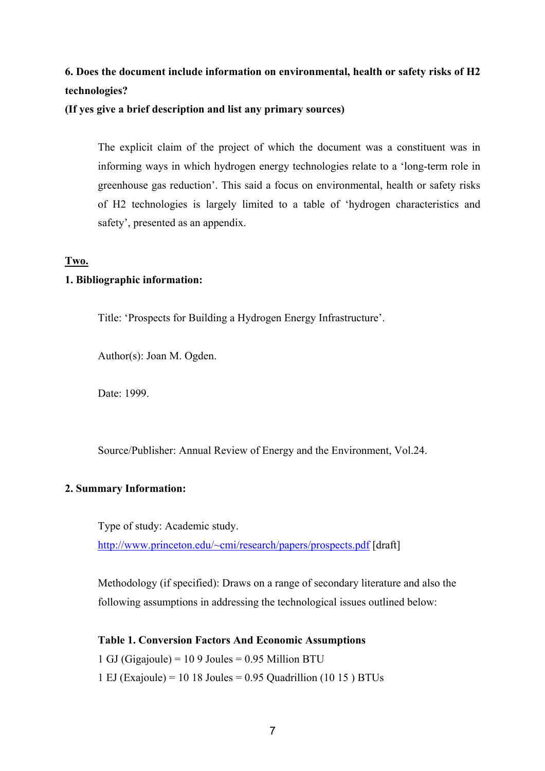### **6. Does the document include information on environmental, health or safety risks of H2 technologies?**

**(If yes give a brief description and list any primary sources)** 

The explicit claim of the project of which the document was a constituent was in informing ways in which hydrogen energy technologies relate to a 'long-term role in greenhouse gas reduction'. This said a focus on environmental, health or safety risks of H2 technologies is largely limited to a table of 'hydrogen characteristics and safety', presented as an appendix.

### **Two.**

### **1. Bibliographic information:**

Title: 'Prospects for Building a Hydrogen Energy Infrastructure'.

Author(s): Joan M. Ogden.

Date: 1999.

Source/Publisher: Annual Review of Energy and the Environment, Vol.24.

### **2. Summary Information:**

Type of study: Academic study. http://www.princeton.edu/~cmi/research/papers/prospects.pdf [draft]

Methodology (if specified): Draws on a range of secondary literature and also the following assumptions in addressing the technological issues outlined below:

### **Table 1. Conversion Factors And Economic Assumptions**

1 GJ (Gigajoule) =  $109$  Joules = 0.95 Million BTU

1 EJ (Exajoule) = 10 18 Joules = 0.95 Quadrillion (10 15 ) BTUs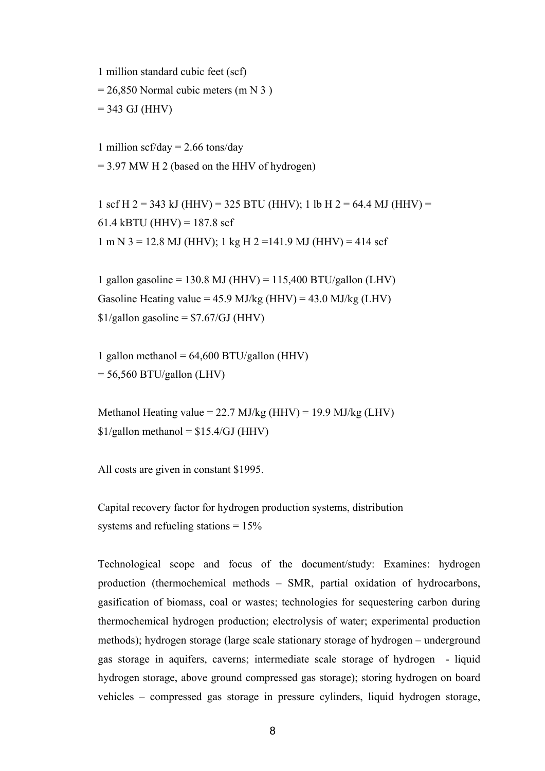1 million standard cubic feet (scf)

 $= 26,850$  Normal cubic meters (m N 3)

 $= 343$  GJ (HHV)

1 million scf/day =  $2.66$  tons/day  $= 3.97$  MW H 2 (based on the HHV of hydrogen)

1 scf H 2 = 343 kJ (HHV) = 325 BTU (HHV); 1 lb H 2 = 64.4 MJ (HHV) = 61.4 kBTU (HHV) =  $187.8 \text{ scf}$ 1 m N 3 = 12.8 MJ (HHV); 1 kg H 2 =141.9 MJ (HHV) = 414 scf

1 gallon gasoline = 130.8 MJ (HHV) = 115,400 BTU/gallon (LHV) Gasoline Heating value =  $45.9$  MJ/kg (HHV) =  $43.0$  MJ/kg (LHV)  $$1/gallon$  gasoline =  $$7.67/GJ$  (HHV)

1 gallon methanol =  $64,600$  BTU/gallon (HHV)  $= 56,560$  BTU/gallon (LHV)

Methanol Heating value =  $22.7$  MJ/kg (HHV) = 19.9 MJ/kg (LHV)  $$1/gallon$  methanol =  $$15.4/GJ$  (HHV)

All costs are given in constant \$1995.

Capital recovery factor for hydrogen production systems, distribution systems and refueling stations  $= 15\%$ 

Technological scope and focus of the document/study: Examines: hydrogen production (thermochemical methods – SMR, partial oxidation of hydrocarbons, gasification of biomass, coal or wastes; technologies for sequestering carbon during thermochemical hydrogen production; electrolysis of water; experimental production methods); hydrogen storage (large scale stationary storage of hydrogen – underground gas storage in aquifers, caverns; intermediate scale storage of hydrogen - liquid hydrogen storage, above ground compressed gas storage); storing hydrogen on board vehicles – compressed gas storage in pressure cylinders, liquid hydrogen storage,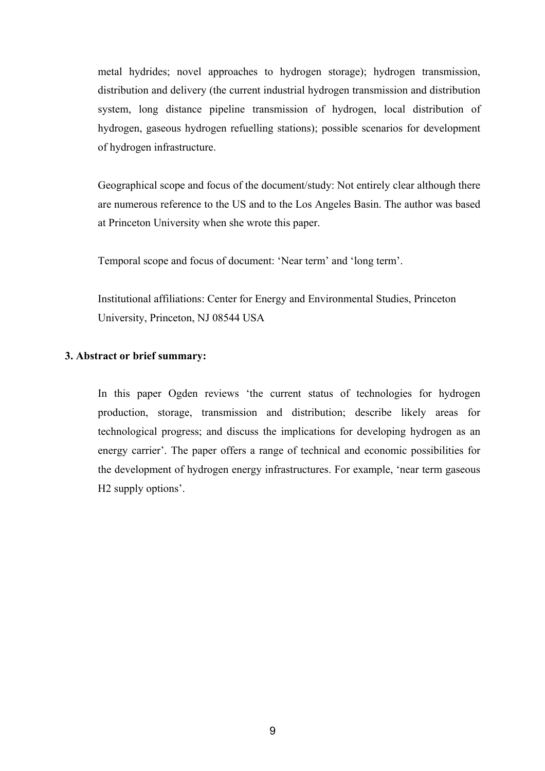metal hydrides; novel approaches to hydrogen storage); hydrogen transmission, distribution and delivery (the current industrial hydrogen transmission and distribution system, long distance pipeline transmission of hydrogen, local distribution of hydrogen, gaseous hydrogen refuelling stations); possible scenarios for development of hydrogen infrastructure.

Geographical scope and focus of the document/study: Not entirely clear although there are numerous reference to the US and to the Los Angeles Basin. The author was based at Princeton University when she wrote this paper.

Temporal scope and focus of document: 'Near term' and 'long term'.

Institutional affiliations: Center for Energy and Environmental Studies, Princeton University, Princeton, NJ 08544 USA

#### **3. Abstract or brief summary:**

In this paper Ogden reviews 'the current status of technologies for hydrogen production, storage, transmission and distribution; describe likely areas for technological progress; and discuss the implications for developing hydrogen as an energy carrier'. The paper offers a range of technical and economic possibilities for the development of hydrogen energy infrastructures. For example, 'near term gaseous H2 supply options'.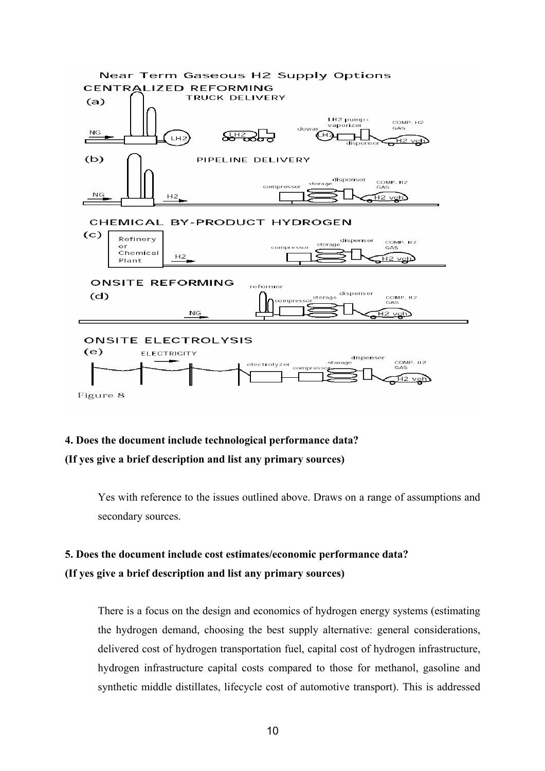

**4. Does the document include technological performance data? (If yes give a brief description and list any primary sources)** 

> Yes with reference to the issues outlined above. Draws on a range of assumptions and secondary sources.

### **5. Does the document include cost estimates/economic performance data? (If yes give a brief description and list any primary sources)**

There is a focus on the design and economics of hydrogen energy systems (estimating the hydrogen demand, choosing the best supply alternative: general considerations, delivered cost of hydrogen transportation fuel, capital cost of hydrogen infrastructure, hydrogen infrastructure capital costs compared to those for methanol, gasoline and synthetic middle distillates, lifecycle cost of automotive transport). This is addressed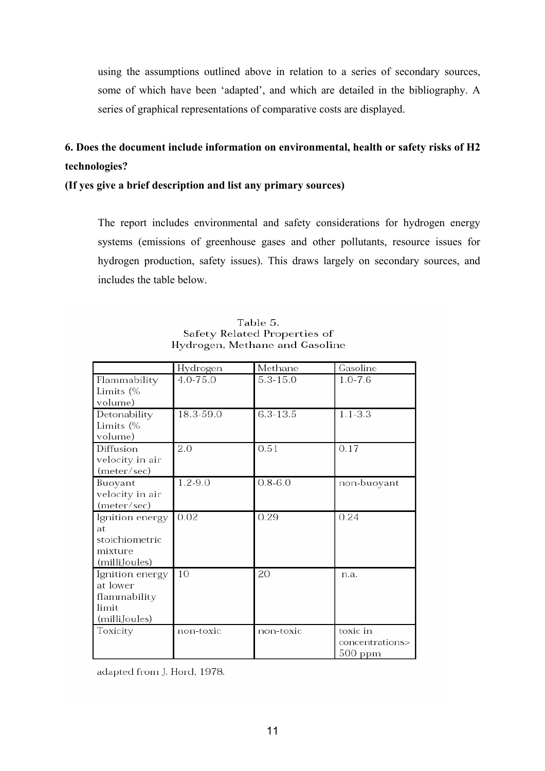using the assumptions outlined above in relation to a series of secondary sources, some of which have been 'adapted', and which are detailed in the bibliography. A series of graphical representations of comparative costs are displayed.

### **6. Does the document include information on environmental, health or safety risks of H2 technologies?**

### **(If yes give a brief description and list any primary sources)**

The report includes environmental and safety considerations for hydrogen energy systems (emissions of greenhouse gases and other pollutants, resource issues for hydrogen production, safety issues). This draws largely on secondary sources, and includes the table below.

|                 | Hydrogen  | Methane     | Gasoline        |
|-----------------|-----------|-------------|-----------------|
| Flammability    | 4.0-75.0  | 5.3-15.0    | $1.0 - 7.6$     |
| Limits (%       |           |             |                 |
| volume)         |           |             |                 |
| Detonability    | 18.3-59.0 | 6.3-13.5    | $1.1 - 3.3$     |
| Limits (%       |           |             |                 |
| volume)         |           |             |                 |
| Diffusion       | 2.0       | 0.51        | 0.17            |
| velocity in air |           |             |                 |
| (meter/sec)     |           |             |                 |
| Buoyant         | 1.2-9.0   | $0.8 - 6.0$ | non-buoyant     |
| velocity in air |           |             |                 |
| (meter/sec)     |           |             |                 |
| Ignition energy | 0.02      | 0.29        | 0.24            |
| at              |           |             |                 |
| stoichiometric  |           |             |                 |
| mixture         |           |             |                 |
| (milliJoules)   |           |             |                 |
| Ignition energy | 10        | 20          | n.a.            |
| at lower        |           |             |                 |
| flammability    |           |             |                 |
| limit           |           |             |                 |
| (milliJoules)   |           |             |                 |
| Toxicity        | non-toxic | non-toxic   | toxic in        |
|                 |           |             | concentrations> |
|                 |           |             | 500 ppm         |

Table 5. Safety Related Properties of Hydrogen, Methane and Gasoline

adapted from J. Hord, 1978.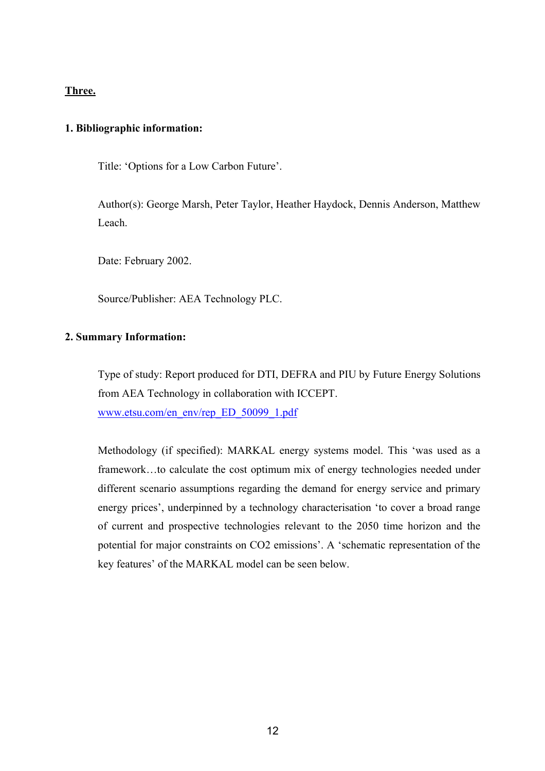### **Three.**

### **1. Bibliographic information:**

Title: 'Options for a Low Carbon Future'.

Author(s): George Marsh, Peter Taylor, Heather Haydock, Dennis Anderson, Matthew Leach.

Date: February 2002.

Source/Publisher: AEA Technology PLC.

#### **2. Summary Information:**

Type of study: Report produced for DTI, DEFRA and PIU by Future Energy Solutions from AEA Technology in collaboration with ICCEPT. www.etsu.com/en\_env/rep\_ED\_50099\_1.pdf

Methodology (if specified): MARKAL energy systems model. This 'was used as a framework…to calculate the cost optimum mix of energy technologies needed under different scenario assumptions regarding the demand for energy service and primary energy prices', underpinned by a technology characterisation 'to cover a broad range of current and prospective technologies relevant to the 2050 time horizon and the potential for major constraints on CO2 emissions'. A 'schematic representation of the key features' of the MARKAL model can be seen below.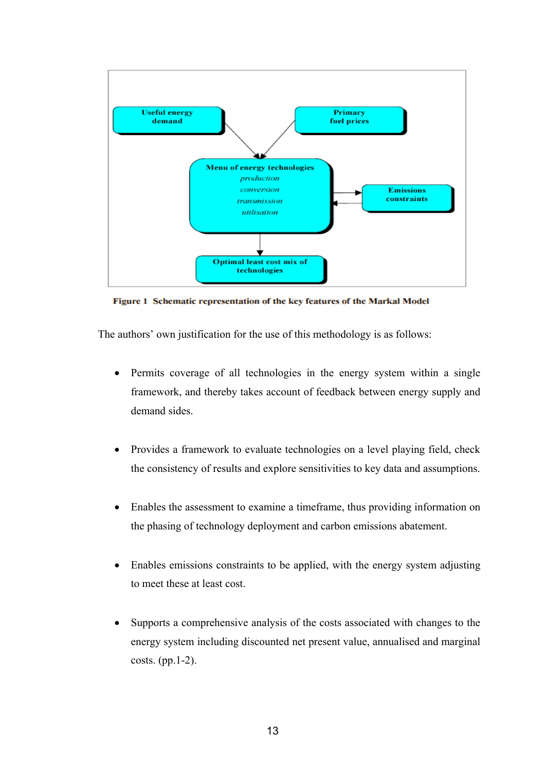

Figure 1 Schematic representation of the key features of the Markal Model

The authors' own justification for the use of this methodology is as follows:

- Permits coverage of all technologies in the energy system within a single framework, and thereby takes account of feedback between energy supply and demand sides.
- Provides a framework to evaluate technologies on a level playing field, check the consistency of results and explore sensitivities to key data and assumptions.
- Enables the assessment to examine a timeframe, thus providing information on the phasing of technology deployment and carbon emissions abatement.
- Enables emissions constraints to be applied, with the energy system adjusting to meet these at least cost.
- Supports a comprehensive analysis of the costs associated with changes to the energy system including discounted net present value, annualised and marginal costs. (pp.1-2).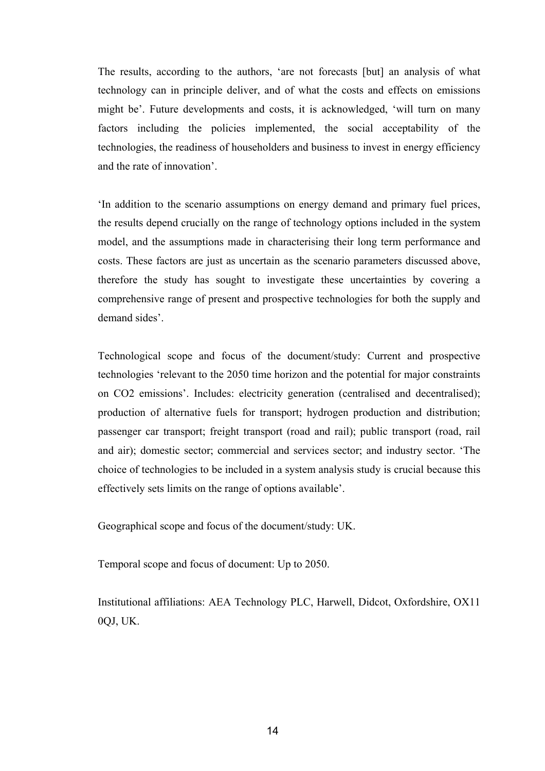The results, according to the authors, 'are not forecasts [but] an analysis of what technology can in principle deliver, and of what the costs and effects on emissions might be'. Future developments and costs, it is acknowledged, 'will turn on many factors including the policies implemented, the social acceptability of the technologies, the readiness of householders and business to invest in energy efficiency and the rate of innovation'.

'In addition to the scenario assumptions on energy demand and primary fuel prices, the results depend crucially on the range of technology options included in the system model, and the assumptions made in characterising their long term performance and costs. These factors are just as uncertain as the scenario parameters discussed above, therefore the study has sought to investigate these uncertainties by covering a comprehensive range of present and prospective technologies for both the supply and demand sides'.

Technological scope and focus of the document/study: Current and prospective technologies 'relevant to the 2050 time horizon and the potential for major constraints on CO2 emissions'. Includes: electricity generation (centralised and decentralised); production of alternative fuels for transport; hydrogen production and distribution; passenger car transport; freight transport (road and rail); public transport (road, rail and air); domestic sector; commercial and services sector; and industry sector. 'The choice of technologies to be included in a system analysis study is crucial because this effectively sets limits on the range of options available'.

Geographical scope and focus of the document/study: UK.

Temporal scope and focus of document: Up to 2050.

Institutional affiliations: AEA Technology PLC, Harwell, Didcot, Oxfordshire, OX11 0QJ, UK.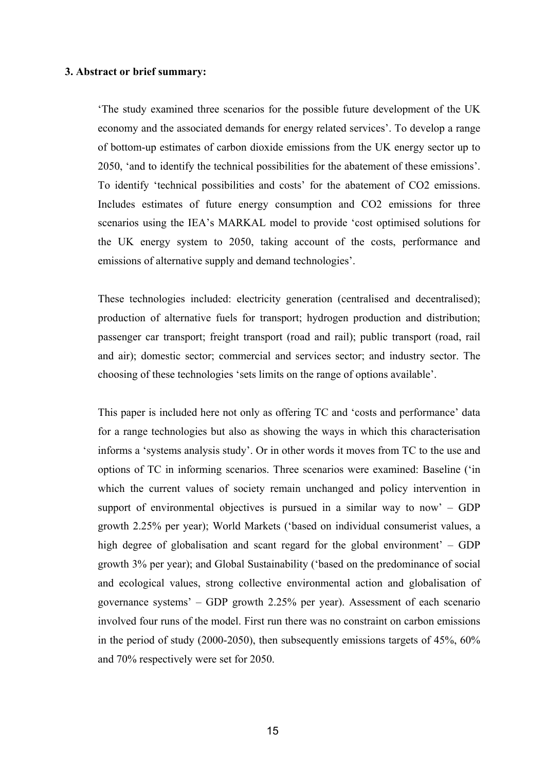#### **3. Abstract or brief summary:**

'The study examined three scenarios for the possible future development of the UK economy and the associated demands for energy related services'. To develop a range of bottom-up estimates of carbon dioxide emissions from the UK energy sector up to 2050, 'and to identify the technical possibilities for the abatement of these emissions'. To identify 'technical possibilities and costs' for the abatement of CO2 emissions. Includes estimates of future energy consumption and CO2 emissions for three scenarios using the IEA's MARKAL model to provide 'cost optimised solutions for the UK energy system to 2050, taking account of the costs, performance and emissions of alternative supply and demand technologies'.

These technologies included: electricity generation (centralised and decentralised); production of alternative fuels for transport; hydrogen production and distribution; passenger car transport; freight transport (road and rail); public transport (road, rail and air); domestic sector; commercial and services sector; and industry sector. The choosing of these technologies 'sets limits on the range of options available'.

This paper is included here not only as offering TC and 'costs and performance' data for a range technologies but also as showing the ways in which this characterisation informs a 'systems analysis study'. Or in other words it moves from TC to the use and options of TC in informing scenarios. Three scenarios were examined: Baseline ('in which the current values of society remain unchanged and policy intervention in support of environmental objectives is pursued in a similar way to now'  $-$  GDP growth 2.25% per year); World Markets ('based on individual consumerist values, a high degree of globalisation and scant regard for the global environment' – GDP growth 3% per year); and Global Sustainability ('based on the predominance of social and ecological values, strong collective environmental action and globalisation of governance systems' – GDP growth 2.25% per year). Assessment of each scenario involved four runs of the model. First run there was no constraint on carbon emissions in the period of study (2000-2050), then subsequently emissions targets of 45%, 60% and 70% respectively were set for 2050.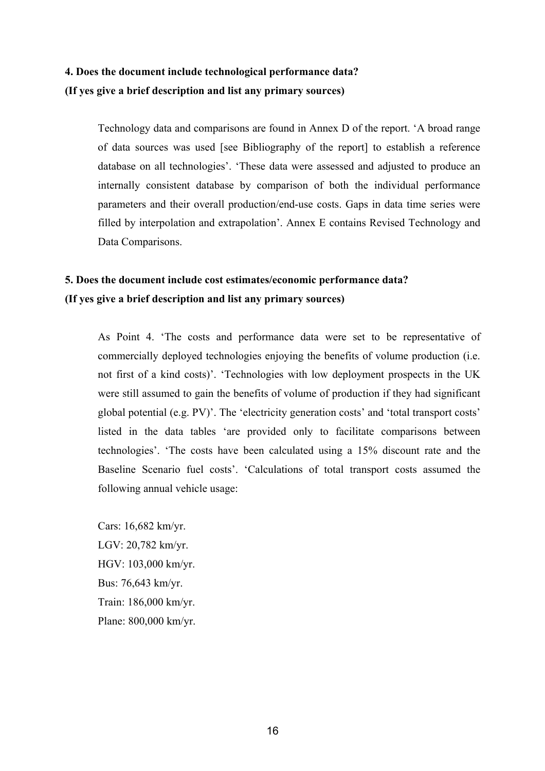### **4. Does the document include technological performance data? (If yes give a brief description and list any primary sources)**

Technology data and comparisons are found in Annex D of the report. 'A broad range of data sources was used [see Bibliography of the report] to establish a reference database on all technologies'. 'These data were assessed and adjusted to produce an internally consistent database by comparison of both the individual performance parameters and their overall production/end-use costs. Gaps in data time series were filled by interpolation and extrapolation'. Annex E contains Revised Technology and Data Comparisons.

### **5. Does the document include cost estimates/economic performance data? (If yes give a brief description and list any primary sources)**

As Point 4. 'The costs and performance data were set to be representative of commercially deployed technologies enjoying the benefits of volume production (i.e. not first of a kind costs)'. 'Technologies with low deployment prospects in the UK were still assumed to gain the benefits of volume of production if they had significant global potential (e.g. PV)'. The 'electricity generation costs' and 'total transport costs' listed in the data tables 'are provided only to facilitate comparisons between technologies'. 'The costs have been calculated using a 15% discount rate and the Baseline Scenario fuel costs'. 'Calculations of total transport costs assumed the following annual vehicle usage:

Cars: 16,682 km/yr. LGV: 20,782 km/yr. HGV: 103,000 km/yr. Bus: 76,643 km/yr. Train: 186,000 km/yr. Plane: 800,000 km/yr.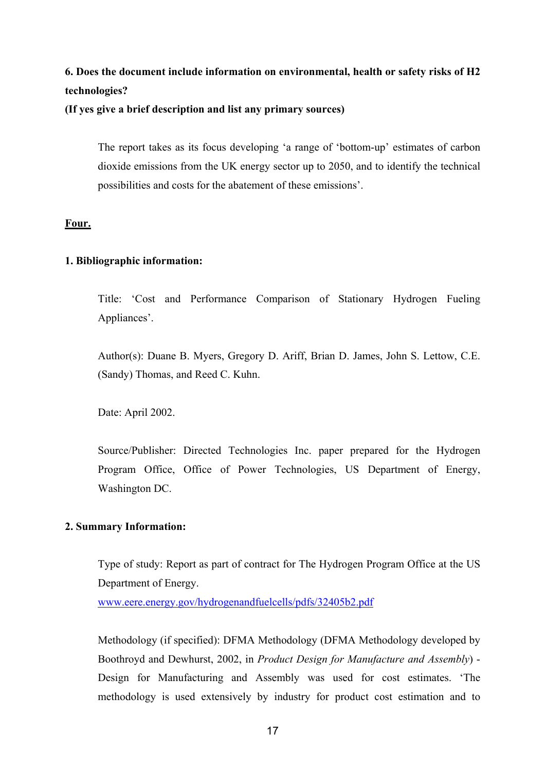### **6. Does the document include information on environmental, health or safety risks of H2 technologies?**

### **(If yes give a brief description and list any primary sources)**

The report takes as its focus developing 'a range of 'bottom-up' estimates of carbon dioxide emissions from the UK energy sector up to 2050, and to identify the technical possibilities and costs for the abatement of these emissions'.

### **Four.**

### **1. Bibliographic information:**

Title: 'Cost and Performance Comparison of Stationary Hydrogen Fueling Appliances'.

Author(s): Duane B. Myers, Gregory D. Ariff, Brian D. James, John S. Lettow, C.E. (Sandy) Thomas, and Reed C. Kuhn.

Date: April 2002.

Source/Publisher: Directed Technologies Inc. paper prepared for the Hydrogen Program Office, Office of Power Technologies, US Department of Energy, Washington DC.

### **2. Summary Information:**

Type of study: Report as part of contract for The Hydrogen Program Office at the US Department of Energy.

www.eere.energy.gov/hydrogenandfuelcells/pdfs/32405b2.pdf

Methodology (if specified): DFMA Methodology (DFMA Methodology developed by Boothroyd and Dewhurst, 2002, in *Product Design for Manufacture and Assembly*) - Design for Manufacturing and Assembly was used for cost estimates. 'The methodology is used extensively by industry for product cost estimation and to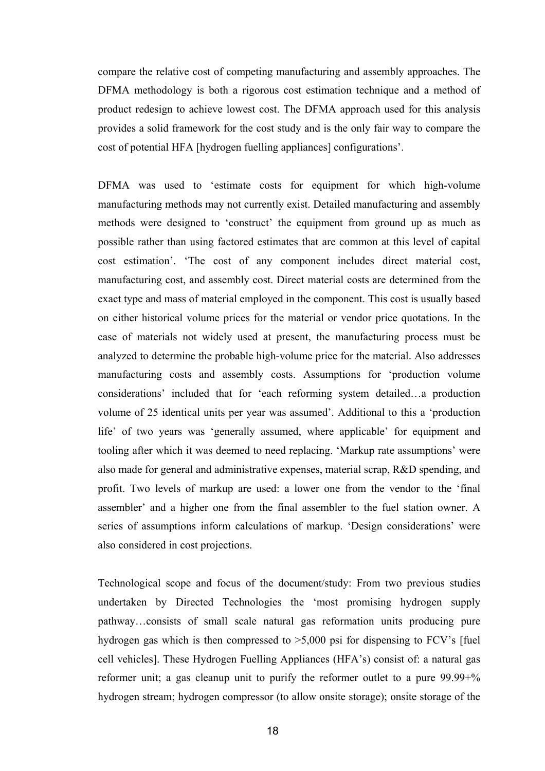compare the relative cost of competing manufacturing and assembly approaches. The DFMA methodology is both a rigorous cost estimation technique and a method of product redesign to achieve lowest cost. The DFMA approach used for this analysis provides a solid framework for the cost study and is the only fair way to compare the cost of potential HFA [hydrogen fuelling appliances] configurations'.

DFMA was used to 'estimate costs for equipment for which high-volume manufacturing methods may not currently exist. Detailed manufacturing and assembly methods were designed to 'construct' the equipment from ground up as much as possible rather than using factored estimates that are common at this level of capital cost estimation'. 'The cost of any component includes direct material cost, manufacturing cost, and assembly cost. Direct material costs are determined from the exact type and mass of material employed in the component. This cost is usually based on either historical volume prices for the material or vendor price quotations. In the case of materials not widely used at present, the manufacturing process must be analyzed to determine the probable high-volume price for the material. Also addresses manufacturing costs and assembly costs. Assumptions for 'production volume considerations' included that for 'each reforming system detailed…a production volume of 25 identical units per year was assumed'. Additional to this a 'production life' of two years was 'generally assumed, where applicable' for equipment and tooling after which it was deemed to need replacing. 'Markup rate assumptions' were also made for general and administrative expenses, material scrap, R&D spending, and profit. Two levels of markup are used: a lower one from the vendor to the 'final assembler' and a higher one from the final assembler to the fuel station owner. A series of assumptions inform calculations of markup. 'Design considerations' were also considered in cost projections.

Technological scope and focus of the document/study: From two previous studies undertaken by Directed Technologies the 'most promising hydrogen supply pathway…consists of small scale natural gas reformation units producing pure hydrogen gas which is then compressed to  $>5,000$  psi for dispensing to FCV's [fuel] cell vehicles]. These Hydrogen Fuelling Appliances (HFA's) consist of: a natural gas reformer unit; a gas cleanup unit to purify the reformer outlet to a pure 99.99+% hydrogen stream; hydrogen compressor (to allow onsite storage); onsite storage of the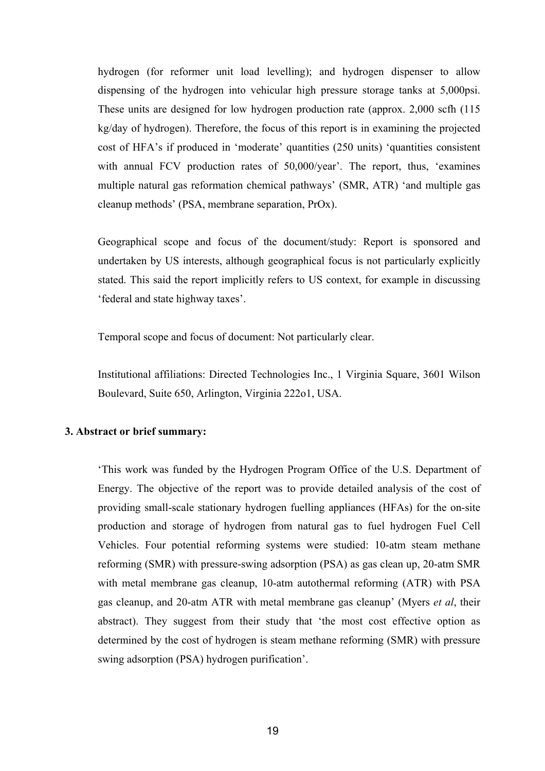hydrogen (for reformer unit load levelling); and hydrogen dispenser to allow dispensing of the hydrogen into vehicular high pressure storage tanks at 5,000psi. These units are designed for low hydrogen production rate (approx. 2,000 scfh (115 kg/day of hydrogen). Therefore, the focus of this report is in examining the projected cost of HFA's if produced in 'moderate' quantities (250 units) 'quantities consistent with annual FCV production rates of 50,000/year'. The report, thus, 'examines multiple natural gas reformation chemical pathways' (SMR, ATR) 'and multiple gas cleanup methods' (PSA, membrane separation, PrOx).

Geographical scope and focus of the document/study: Report is sponsored and undertaken by US interests, although geographical focus is not particularly explicitly stated. This said the report implicitly refers to US context, for example in discussing 'federal and state highway taxes'.

Temporal scope and focus of document: Not particularly clear.

Institutional affiliations: Directed Technologies Inc., 1 Virginia Square, 3601 Wilson Boulevard, Suite 650, Arlington, Virginia 222o1, USA.

#### **3. Abstract or brief summary:**

'This work was funded by the Hydrogen Program Office of the U.S. Department of Energy. The objective of the report was to provide detailed analysis of the cost of providing small-scale stationary hydrogen fuelling appliances (HFAs) for the on-site production and storage of hydrogen from natural gas to fuel hydrogen Fuel Cell Vehicles. Four potential reforming systems were studied: 10-atm steam methane reforming (SMR) with pressure-swing adsorption (PSA) as gas clean up, 20-atm SMR with metal membrane gas cleanup, 10-atm autothermal reforming (ATR) with PSA gas cleanup, and 20-atm ATR with metal membrane gas cleanup' (Myers *et al*, their abstract). They suggest from their study that 'the most cost effective option as determined by the cost of hydrogen is steam methane reforming (SMR) with pressure swing adsorption (PSA) hydrogen purification'.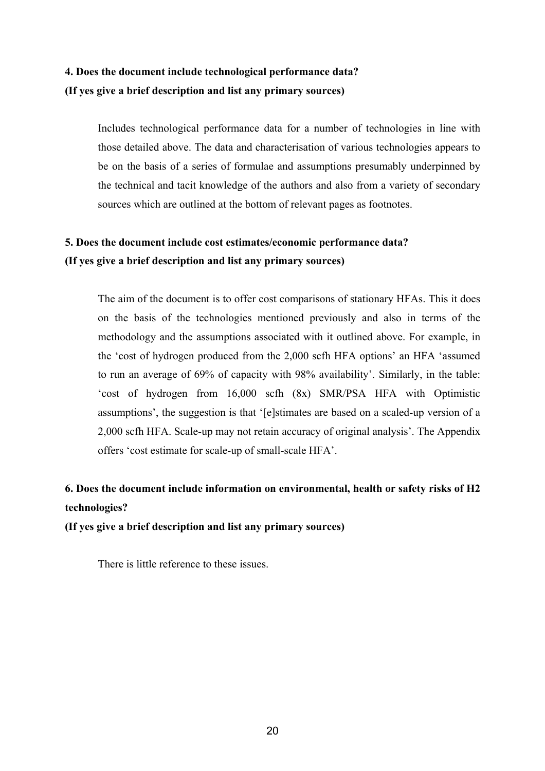### **4. Does the document include technological performance data? (If yes give a brief description and list any primary sources)**

Includes technological performance data for a number of technologies in line with those detailed above. The data and characterisation of various technologies appears to be on the basis of a series of formulae and assumptions presumably underpinned by the technical and tacit knowledge of the authors and also from a variety of secondary sources which are outlined at the bottom of relevant pages as footnotes.

### **5. Does the document include cost estimates/economic performance data? (If yes give a brief description and list any primary sources)**

The aim of the document is to offer cost comparisons of stationary HFAs. This it does on the basis of the technologies mentioned previously and also in terms of the methodology and the assumptions associated with it outlined above. For example, in the 'cost of hydrogen produced from the 2,000 scfh HFA options' an HFA 'assumed to run an average of 69% of capacity with 98% availability'. Similarly, in the table: 'cost of hydrogen from 16,000 scfh (8x) SMR/PSA HFA with Optimistic assumptions', the suggestion is that '[e]stimates are based on a scaled-up version of a 2,000 scfh HFA. Scale-up may not retain accuracy of original analysis'. The Appendix offers 'cost estimate for scale-up of small-scale HFA'.

### **6. Does the document include information on environmental, health or safety risks of H2 technologies?**

**(If yes give a brief description and list any primary sources)** 

There is little reference to these issues.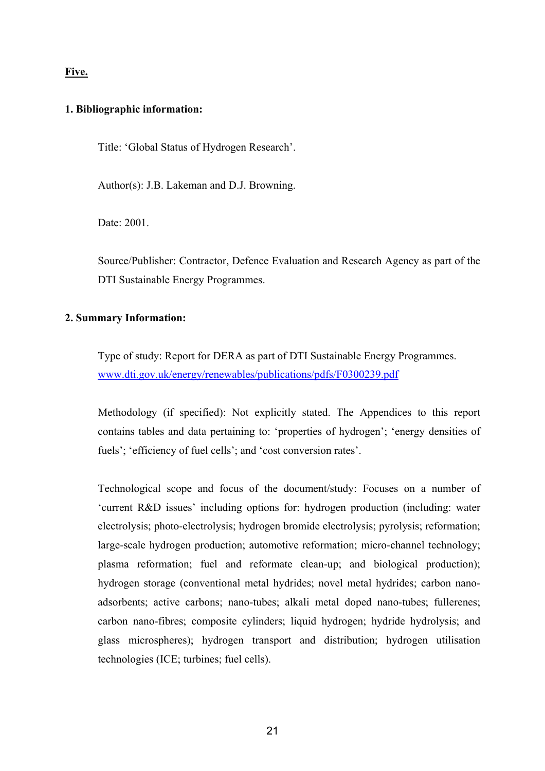### **Five.**

#### **1. Bibliographic information:**

Title: 'Global Status of Hydrogen Research'.

Author(s): J.B. Lakeman and D.J. Browning.

Date: 2001.

Source/Publisher: Contractor, Defence Evaluation and Research Agency as part of the DTI Sustainable Energy Programmes.

### **2. Summary Information:**

Type of study: Report for DERA as part of DTI Sustainable Energy Programmes. www.dti.gov.uk/energy/renewables/publications/pdfs/F0300239.pdf

Methodology (if specified): Not explicitly stated. The Appendices to this report contains tables and data pertaining to: 'properties of hydrogen'; 'energy densities of fuels'; 'efficiency of fuel cells'; and 'cost conversion rates'.

Technological scope and focus of the document/study: Focuses on a number of 'current R&D issues' including options for: hydrogen production (including: water electrolysis; photo-electrolysis; hydrogen bromide electrolysis; pyrolysis; reformation; large-scale hydrogen production; automotive reformation; micro-channel technology; plasma reformation; fuel and reformate clean-up; and biological production); hydrogen storage (conventional metal hydrides; novel metal hydrides; carbon nanoadsorbents; active carbons; nano-tubes; alkali metal doped nano-tubes; fullerenes; carbon nano-fibres; composite cylinders; liquid hydrogen; hydride hydrolysis; and glass microspheres); hydrogen transport and distribution; hydrogen utilisation technologies (ICE; turbines; fuel cells).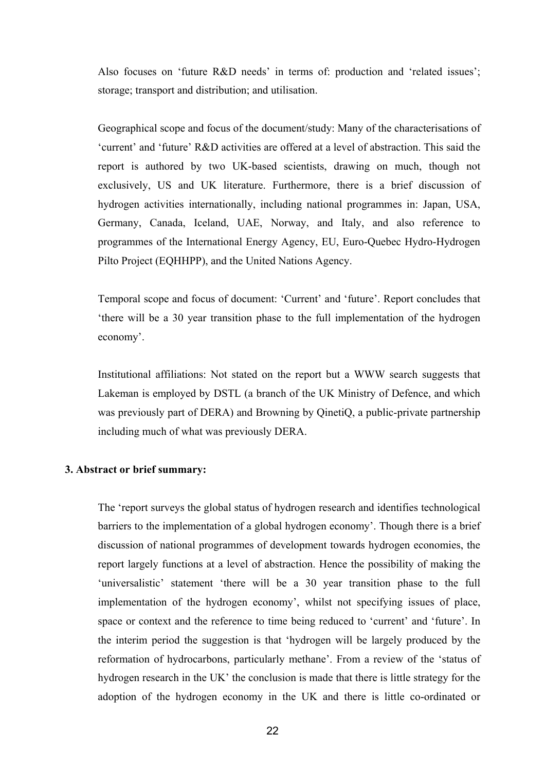Also focuses on 'future R&D needs' in terms of: production and 'related issues'; storage; transport and distribution; and utilisation.

Geographical scope and focus of the document/study: Many of the characterisations of 'current' and 'future' R&D activities are offered at a level of abstraction. This said the report is authored by two UK-based scientists, drawing on much, though not exclusively, US and UK literature. Furthermore, there is a brief discussion of hydrogen activities internationally, including national programmes in: Japan, USA, Germany, Canada, Iceland, UAE, Norway, and Italy, and also reference to programmes of the International Energy Agency, EU, Euro-Quebec Hydro-Hydrogen Pilto Project (EQHHPP), and the United Nations Agency.

Temporal scope and focus of document: 'Current' and 'future'. Report concludes that 'there will be a 30 year transition phase to the full implementation of the hydrogen economy'.

Institutional affiliations: Not stated on the report but a WWW search suggests that Lakeman is employed by DSTL (a branch of the UK Ministry of Defence, and which was previously part of DERA) and Browning by QinetiQ, a public-private partnership including much of what was previously DERA.

#### **3. Abstract or brief summary:**

The 'report surveys the global status of hydrogen research and identifies technological barriers to the implementation of a global hydrogen economy'. Though there is a brief discussion of national programmes of development towards hydrogen economies, the report largely functions at a level of abstraction. Hence the possibility of making the 'universalistic' statement 'there will be a 30 year transition phase to the full implementation of the hydrogen economy', whilst not specifying issues of place, space or context and the reference to time being reduced to 'current' and 'future'. In the interim period the suggestion is that 'hydrogen will be largely produced by the reformation of hydrocarbons, particularly methane'. From a review of the 'status of hydrogen research in the UK' the conclusion is made that there is little strategy for the adoption of the hydrogen economy in the UK and there is little co-ordinated or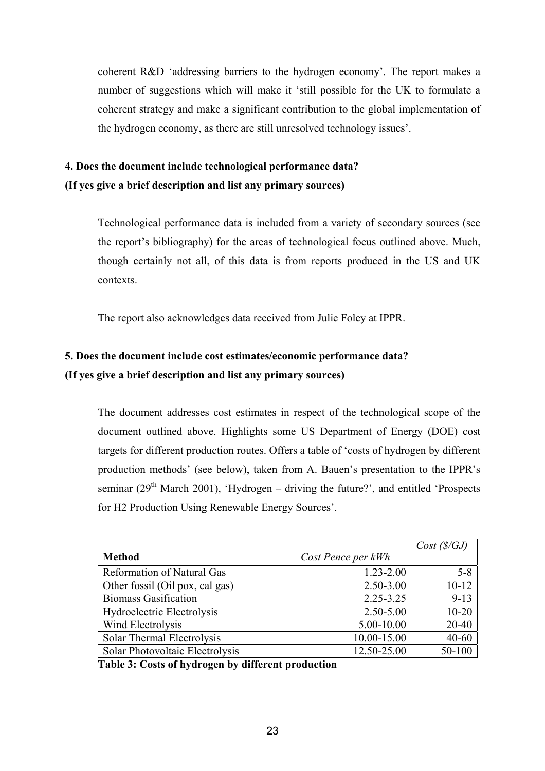coherent R&D 'addressing barriers to the hydrogen economy'. The report makes a number of suggestions which will make it 'still possible for the UK to formulate a coherent strategy and make a significant contribution to the global implementation of the hydrogen economy, as there are still unresolved technology issues'.

### **4. Does the document include technological performance data? (If yes give a brief description and list any primary sources)**

Technological performance data is included from a variety of secondary sources (see the report's bibliography) for the areas of technological focus outlined above. Much, though certainly not all, of this data is from reports produced in the US and UK contexts.

The report also acknowledges data received from Julie Foley at IPPR.

### **5. Does the document include cost estimates/economic performance data? (If yes give a brief description and list any primary sources)**

The document addresses cost estimates in respect of the technological scope of the document outlined above. Highlights some US Department of Energy (DOE) cost targets for different production routes. Offers a table of 'costs of hydrogen by different production methods' (see below), taken from A. Bauen's presentation to the IPPR's seminar ( $29<sup>th</sup>$  March 2001), 'Hydrogen – driving the future?', and entitled 'Prospects for H2 Production Using Renewable Energy Sources'.

|                                   |                    | Cost(S/GJ) |
|-----------------------------------|--------------------|------------|
| <b>Method</b>                     | Cost Pence per kWh |            |
| <b>Reformation of Natural Gas</b> | $1.23 - 2.00$      | $5 - 8$    |
| Other fossil (Oil pox, cal gas)   | 2.50-3.00          | $10 - 12$  |
| <b>Biomass Gasification</b>       | 2.25-3.25          | $9 - 13$   |
| Hydroelectric Electrolysis        | 2.50-5.00          | $10 - 20$  |
| Wind Electrolysis                 | 5.00-10.00         | 20-40      |
| Solar Thermal Electrolysis        | 10.00-15.00        | $40 - 60$  |
| Solar Photovoltaic Electrolysis   | 12.50-25.00        | 50-100     |

**Table 3: Costs of hydrogen by different production**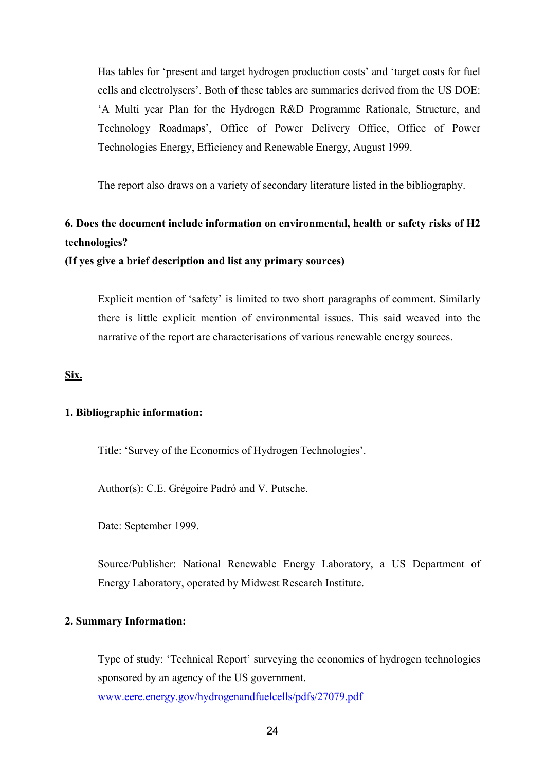Has tables for 'present and target hydrogen production costs' and 'target costs for fuel cells and electrolysers'. Both of these tables are summaries derived from the US DOE: 'A Multi year Plan for the Hydrogen R&D Programme Rationale, Structure, and Technology Roadmaps', Office of Power Delivery Office, Office of Power Technologies Energy, Efficiency and Renewable Energy, August 1999.

The report also draws on a variety of secondary literature listed in the bibliography.

### **6. Does the document include information on environmental, health or safety risks of H2 technologies?**

**(If yes give a brief description and list any primary sources)** 

Explicit mention of 'safety' is limited to two short paragraphs of comment. Similarly there is little explicit mention of environmental issues. This said weaved into the narrative of the report are characterisations of various renewable energy sources.

**Six.**

#### **1. Bibliographic information:**

Title: 'Survey of the Economics of Hydrogen Technologies'.

Author(s): C.E. Grégoire Padró and V. Putsche.

Date: September 1999.

Source/Publisher: National Renewable Energy Laboratory, a US Department of Energy Laboratory, operated by Midwest Research Institute.

#### **2. Summary Information:**

Type of study: 'Technical Report' surveying the economics of hydrogen technologies sponsored by an agency of the US government. www.eere.energy.gov/hydrogenandfuelcells/pdfs/27079.pdf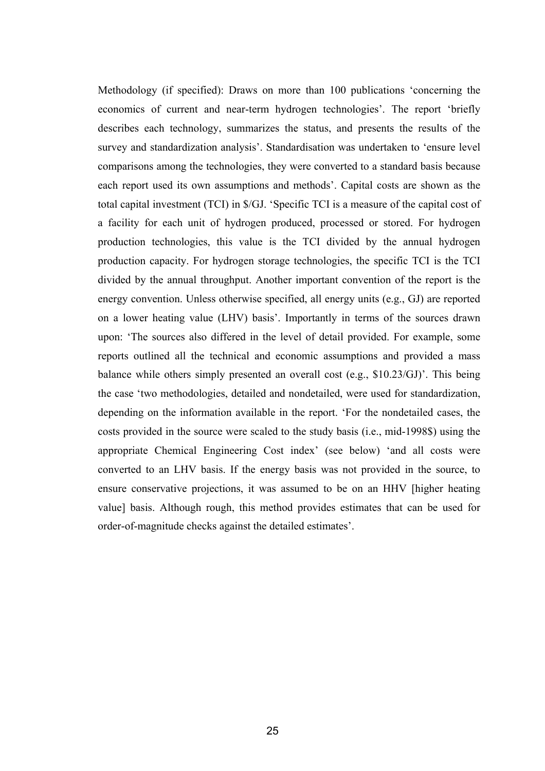Methodology (if specified): Draws on more than 100 publications 'concerning the economics of current and near-term hydrogen technologies'. The report 'briefly describes each technology, summarizes the status, and presents the results of the survey and standardization analysis'. Standardisation was undertaken to 'ensure level comparisons among the technologies, they were converted to a standard basis because each report used its own assumptions and methods'. Capital costs are shown as the total capital investment (TCI) in \$/GJ. 'Specific TCI is a measure of the capital cost of a facility for each unit of hydrogen produced, processed or stored. For hydrogen production technologies, this value is the TCI divided by the annual hydrogen production capacity. For hydrogen storage technologies, the specific TCI is the TCI divided by the annual throughput. Another important convention of the report is the energy convention. Unless otherwise specified, all energy units (e.g., GJ) are reported on a lower heating value (LHV) basis'. Importantly in terms of the sources drawn upon: 'The sources also differed in the level of detail provided. For example, some reports outlined all the technical and economic assumptions and provided a mass balance while others simply presented an overall cost (e.g., \$10.23/GJ)'. This being the case 'two methodologies, detailed and nondetailed, were used for standardization, depending on the information available in the report. 'For the nondetailed cases, the costs provided in the source were scaled to the study basis (i.e., mid-1998\$) using the appropriate Chemical Engineering Cost index' (see below) 'and all costs were converted to an LHV basis. If the energy basis was not provided in the source, to ensure conservative projections, it was assumed to be on an HHV [higher heating value] basis. Although rough, this method provides estimates that can be used for order-of-magnitude checks against the detailed estimates'.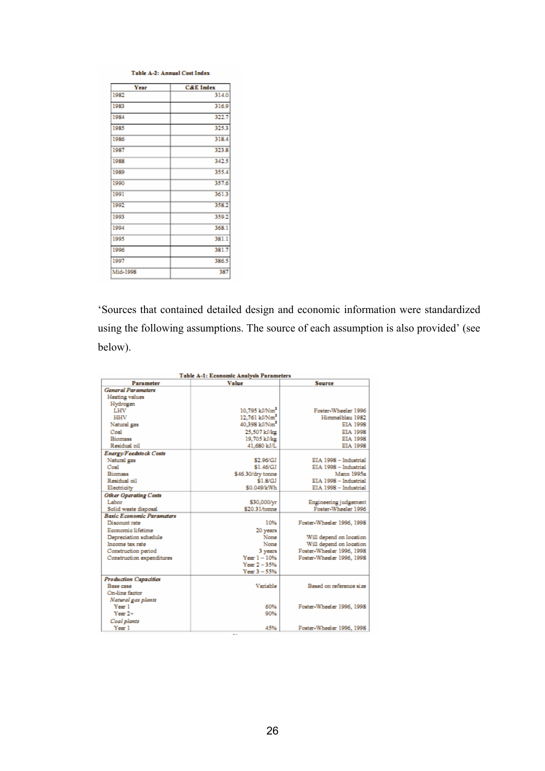#### Table A-2: Annual Cost Index

| Year     | <b>C&amp;E</b> Index |
|----------|----------------------|
| 1982     | 314.0                |
| 1983     | 316.9                |
| 1984     | 322.7                |
| 1985     | 325.3                |
| 1986     | 318.4                |
| 1987     | 323.8                |
| 1988     | 342.5                |
| 1989     | 355.4                |
| 1990     | 357.6                |
| 1991     | 361.3                |
| 1992     | 358.2                |
| 1993     | 359.2                |
| 1994     | 368.1                |
| 1995     | 381.1                |
| 1996     | 381.7                |
| 1997     | 386.5                |
| Mid-1998 | 387                  |

'Sources that contained detailed design and economic information were standardized using the following assumptions. The source of each assumption is also provided' (see below).

| <b>Table A-1: Economic Analysis Parameters</b> |                             |                           |  |  |
|------------------------------------------------|-----------------------------|---------------------------|--|--|
| Parameter                                      | Value                       | <b>Source</b>             |  |  |
| <b>General Parameters</b>                      |                             |                           |  |  |
| Heating values                                 |                             |                           |  |  |
| Hydrogen                                       |                             |                           |  |  |
| LHV                                            | $10.795$ kJ/Nm <sup>2</sup> | Foster-Wheeler 1996       |  |  |
| HHV                                            | 12.761 kJ/Nm <sup>2</sup>   | Himmelblau 1982           |  |  |
| Natural gas                                    | 40.398 kJ/Nm <sup>2</sup>   | EIA 1998                  |  |  |
| Coal                                           | 25.507 kJ/kg                | EIA 1998                  |  |  |
| <b>Biomass</b>                                 | 19,705 kJ/kg                | EIA 1998                  |  |  |
| Residual oil                                   | 41.680 kJ/L                 | EIA 1998                  |  |  |
| <b>Energy/Feedstock Costs</b>                  |                             |                           |  |  |
| Natural gas                                    | \$2,96/GJ                   | EIA 1998 - Industrial     |  |  |
| Coal                                           | \$1.46/GJ                   | EIA 1998 - Industrial     |  |  |
| <b>Biomass</b>                                 | \$46.30/dry tonne           | <b>Mann 1995a</b>         |  |  |
| Residual oil                                   | \$1.8/GJ                    | EIA 1998 - Industrial     |  |  |
| Electricity                                    | \$0.049/kWh                 | EIA 1998 - Industrial     |  |  |
| <b>Other Operating Costs</b>                   |                             |                           |  |  |
| Labor                                          | \$30,000/yr                 | Engineering judgement     |  |  |
| Solid waste disposal                           | \$20.31/tonne               | Foster-Wheeler 1996       |  |  |
| <b>Basic Economic Parameters</b>               |                             |                           |  |  |
| Discount rate                                  | 10%                         | Foster-Wheeler 1996, 1998 |  |  |
| Economic lifetime                              | 20 years                    |                           |  |  |
| Depreciation schedule                          | None                        | Will depend on location   |  |  |
| Income tax rate                                | None                        | Will depend on location   |  |  |
| Construction period                            | 3 years                     | Foster-Wheeler 1996, 1998 |  |  |
| Construction expenditures                      | $Year 1 - 10%$              | Foster-Wheeler 1996, 1998 |  |  |
|                                                | $Year 2 - 35%$              |                           |  |  |
|                                                | $Year 3 - 55%$              |                           |  |  |
| <b>Production Capacities</b>                   |                             |                           |  |  |
| Base case                                      | Variable                    | Based on reference size   |  |  |
| On-line factor                                 |                             |                           |  |  |
| Natural gas plants                             |                             |                           |  |  |
| Year 1                                         | 60%                         | Foster-Wheeler 1996, 1998 |  |  |
| $Year 2+$                                      | 90%                         |                           |  |  |
| Coal plants                                    |                             |                           |  |  |
| Year 1                                         | 45%                         | Foster-Wheeler 1996, 1998 |  |  |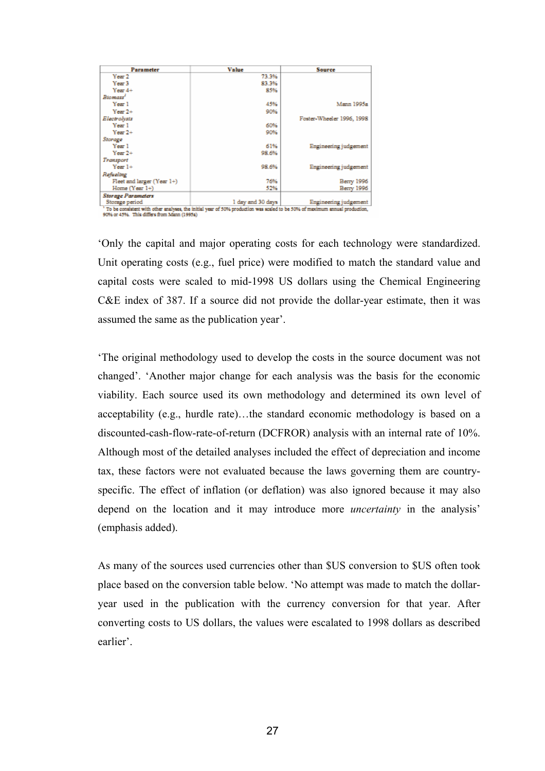| Parameter                  | Value                                                                                                                                               | <b>Source</b>             |
|----------------------------|-----------------------------------------------------------------------------------------------------------------------------------------------------|---------------------------|
| Year 2                     | 73.3%                                                                                                                                               |                           |
| Year <sub>3</sub>          | 83.3%                                                                                                                                               |                           |
| Year $4+$                  | 85%                                                                                                                                                 |                           |
| Biomass <sup>1</sup>       |                                                                                                                                                     |                           |
| Year 1                     | 45%                                                                                                                                                 | Mann 1995a                |
| $Year 2+$                  | 90%                                                                                                                                                 |                           |
| Electrolysts               |                                                                                                                                                     | Foster-Wheeler 1996, 1998 |
| Year 1                     | 60%                                                                                                                                                 |                           |
| $Year 2+$                  | 90%                                                                                                                                                 |                           |
| Storage                    |                                                                                                                                                     |                           |
| Year 1                     | 61%                                                                                                                                                 | Engineering judgement     |
| $Year 2+$                  | 98.6%                                                                                                                                               |                           |
| Transport                  |                                                                                                                                                     |                           |
| $Year1+$                   | 98.6%                                                                                                                                               | Engineering judgement     |
| Refueling                  |                                                                                                                                                     |                           |
| Fleet and larger (Year 1+) | 76%                                                                                                                                                 | Berry 1996                |
| Home (Year 1+)             | 52%                                                                                                                                                 | Berry 1996                |
| <b>Storage Parameters</b>  |                                                                                                                                                     |                           |
| Storage period             | 1 day and 30 days<br>To be concluted with other enalyses, the initial wear of \$024 readuction was socied to be \$024 of maximum annual production. | Engineering judgement     |

90% or 45%. This differs from Mann (1995a)

'Only the capital and major operating costs for each technology were standardized. Unit operating costs (e.g., fuel price) were modified to match the standard value and capital costs were scaled to mid-1998 US dollars using the Chemical Engineering C&E index of 387. If a source did not provide the dollar-year estimate, then it was assumed the same as the publication year'.

'The original methodology used to develop the costs in the source document was not changed'. 'Another major change for each analysis was the basis for the economic viability. Each source used its own methodology and determined its own level of acceptability (e.g., hurdle rate)…the standard economic methodology is based on a discounted-cash-flow-rate-of-return (DCFROR) analysis with an internal rate of 10%. Although most of the detailed analyses included the effect of depreciation and income tax, these factors were not evaluated because the laws governing them are countryspecific. The effect of inflation (or deflation) was also ignored because it may also depend on the location and it may introduce more *uncertainty* in the analysis' (emphasis added).

As many of the sources used currencies other than \$US conversion to \$US often took place based on the conversion table below. 'No attempt was made to match the dollaryear used in the publication with the currency conversion for that year. After converting costs to US dollars, the values were escalated to 1998 dollars as described earlier'.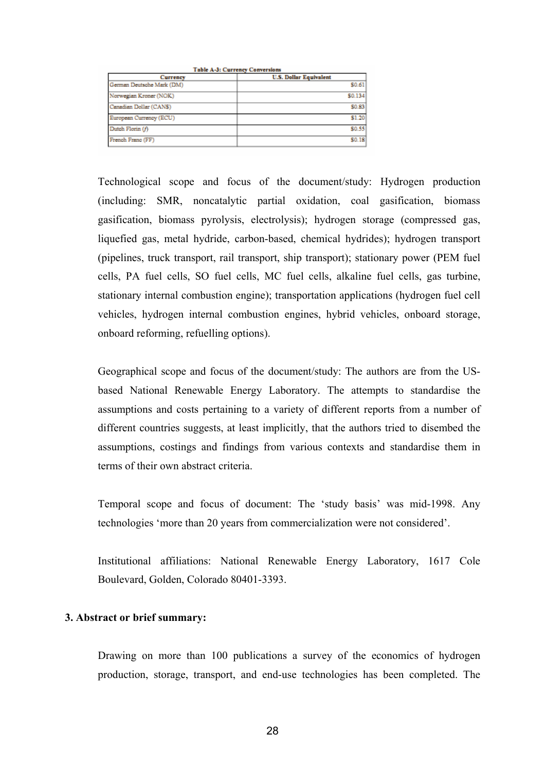| <b>Table A-3: Currency Conversions</b> |                               |  |  |  |
|----------------------------------------|-------------------------------|--|--|--|
| Currency                               | <b>U.S. Dollar Equivalent</b> |  |  |  |
| German Deutsche Mark (DM)              | \$0.61                        |  |  |  |
| Norwegian Kroner (NOK)                 | \$0.134                       |  |  |  |
| Canadian Dollar (CANS)                 | \$0.83                        |  |  |  |
| European Currency (ECU)                | \$1.20                        |  |  |  |
| Dutch Florin (f)                       | \$0.55                        |  |  |  |
| French Franc (FF)                      | \$0.18                        |  |  |  |

Technological scope and focus of the document/study: Hydrogen production (including: SMR, noncatalytic partial oxidation, coal gasification, biomass gasification, biomass pyrolysis, electrolysis); hydrogen storage (compressed gas, liquefied gas, metal hydride, carbon-based, chemical hydrides); hydrogen transport (pipelines, truck transport, rail transport, ship transport); stationary power (PEM fuel cells, PA fuel cells, SO fuel cells, MC fuel cells, alkaline fuel cells, gas turbine, stationary internal combustion engine); transportation applications (hydrogen fuel cell vehicles, hydrogen internal combustion engines, hybrid vehicles, onboard storage, onboard reforming, refuelling options).

Geographical scope and focus of the document/study: The authors are from the USbased National Renewable Energy Laboratory. The attempts to standardise the assumptions and costs pertaining to a variety of different reports from a number of different countries suggests, at least implicitly, that the authors tried to disembed the assumptions, costings and findings from various contexts and standardise them in terms of their own abstract criteria.

Temporal scope and focus of document: The 'study basis' was mid-1998. Any technologies 'more than 20 years from commercialization were not considered'.

Institutional affiliations: National Renewable Energy Laboratory, 1617 Cole Boulevard, Golden, Colorado 80401-3393.

#### **3. Abstract or brief summary:**

Drawing on more than 100 publications a survey of the economics of hydrogen production, storage, transport, and end-use technologies has been completed. The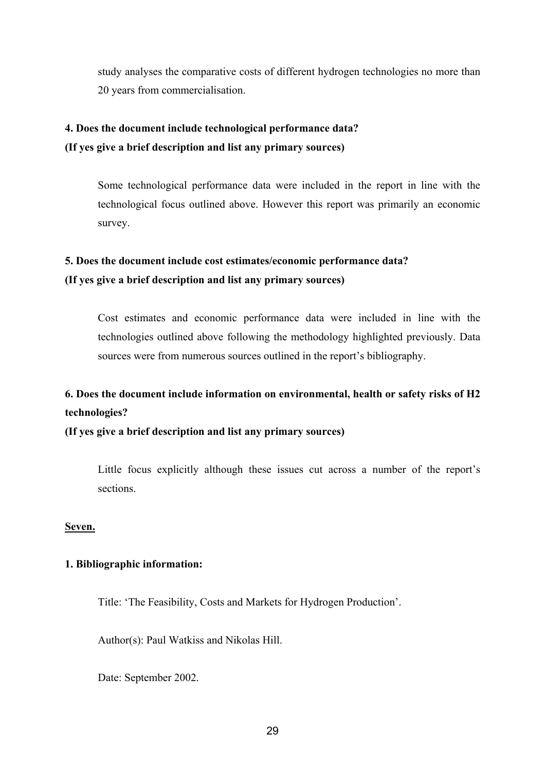study analyses the comparative costs of different hydrogen technologies no more than 20 years from commercialisation.

### **4. Does the document include technological performance data? (If yes give a brief description and list any primary sources)**

Some technological performance data were included in the report in line with the technological focus outlined above. However this report was primarily an economic survey.

### **5. Does the document include cost estimates/economic performance data? (If yes give a brief description and list any primary sources)**

Cost estimates and economic performance data were included in line with the technologies outlined above following the methodology highlighted previously. Data sources were from numerous sources outlined in the report's bibliography.

### **6. Does the document include information on environmental, health or safety risks of H2 technologies?**

**(If yes give a brief description and list any primary sources)** 

Little focus explicitly although these issues cut across a number of the report's sections.

### **Seven.**

### **1. Bibliographic information:**

Title: 'The Feasibility, Costs and Markets for Hydrogen Production'.

Author(s): Paul Watkiss and Nikolas Hill.

Date: September 2002.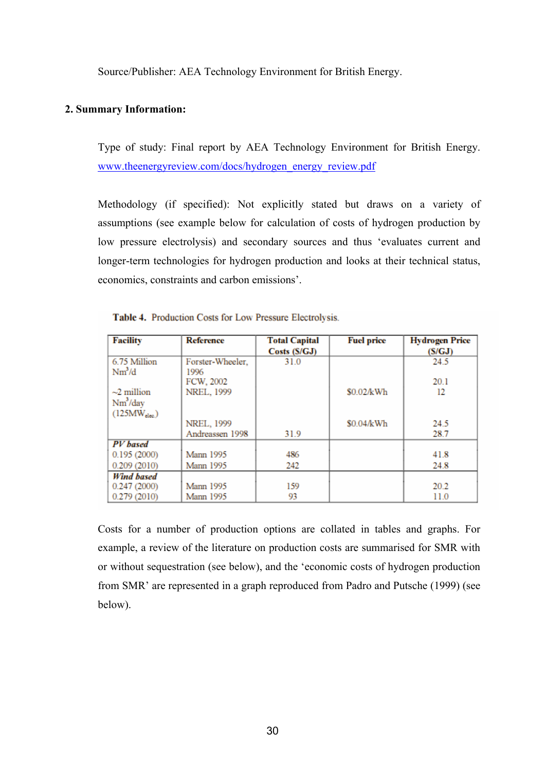Source/Publisher: AEA Technology Environment for British Energy.

### **2. Summary Information:**

Type of study: Final report by AEA Technology Environment for British Energy. www.theenergyreview.com/docs/hydrogen\_energy\_review.pdf

Methodology (if specified): Not explicitly stated but draws on a variety of assumptions (see example below for calculation of costs of hydrogen production by low pressure electrolysis) and secondary sources and thus 'evaluates current and longer-term technologies for hydrogen production and looks at their technical status, economics, constraints and carbon emissions'.

| <b>Facility</b>   | <b>Reference</b> | <b>Total Capital</b> | <b>Fuel price</b> | <b>Hydrogen Price</b> |
|-------------------|------------------|----------------------|-------------------|-----------------------|
|                   |                  | Costs (S/GJ)         |                   | (S/GJ)                |
| 6.75 Million      | Forster-Wheeler, | 31.0                 |                   | 24.5                  |
| $Nm^3/d$          | 1996             |                      |                   |                       |
|                   | FCW, 2002        |                      |                   | <b>201</b>            |
| $\sim$ 2 million  | NREL, 1999       |                      | \$0.02/kWh        | 12                    |
| $Nm^3$ /day       |                  |                      |                   |                       |
| $(125MW_{elec})$  |                  |                      |                   |                       |
|                   | NREL, 1999       |                      | \$0.04/kWh        | 24.5                  |
|                   | Andreassen 1998  | 31.9                 |                   | 28.7                  |
| <b>PV</b> based   |                  |                      |                   |                       |
| 0.195(2000)       | <b>Mann 1995</b> | 486                  |                   | 41.8                  |
| 0.209(2010)       | <b>Mann 1995</b> | 242                  |                   | 24.8                  |
| <b>Wind based</b> |                  |                      |                   |                       |
| 0.247(2000)       | <b>Mann 1995</b> | 159                  |                   | 20.2                  |
| 0.279(2010)       | <b>Mann 1995</b> | 93                   |                   | 11.0                  |

Table 4. Production Costs for Low Pressure Electrolysis.

Costs for a number of production options are collated in tables and graphs. For example, a review of the literature on production costs are summarised for SMR with or without sequestration (see below), and the 'economic costs of hydrogen production from SMR' are represented in a graph reproduced from Padro and Putsche (1999) (see below).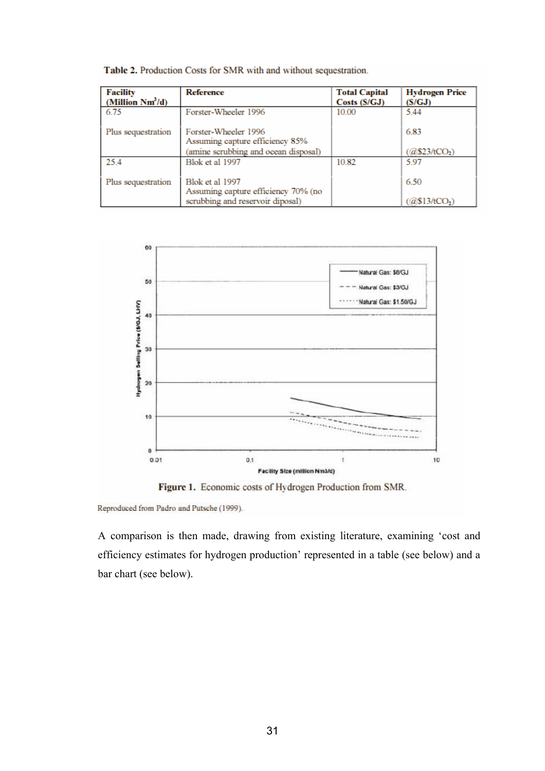| <b>Facility</b><br>(Million $Nm^3/d$ ) | <b>Reference</b>                                        | <b>Total Capital</b><br>Costs(S/GJ) | <b>Hydrogen Price</b><br>(S/GJ) |
|----------------------------------------|---------------------------------------------------------|-------------------------------------|---------------------------------|
| 6.75                                   | Forster-Wheeler 1996                                    | 10.00                               | 5.44                            |
| Plus sequestration                     | Forster-Wheeler 1996<br>Assuming capture efficiency 85% |                                     | 6.83                            |
|                                        | (amine scrubbing and ocean disposal)                    |                                     | @\$23/tCO <sub>2</sub> )        |
| 25.4                                   | Blok et al 1997                                         | 10.82                               | 5.97                            |
| Plus sequestration                     | Blok et al 1997<br>Assuming capture efficiency 70% (no  |                                     | 6.50                            |
|                                        | scrubbing and reservoir diposal)                        |                                     | (a\$13/tCO <sub>2</sub> )       |

Table 2. Production Costs for SMR with and without sequestration.



Figure 1. Economic costs of Hydrogen Production from SMR.

Reproduced from Padro and Putsche (1999).

A comparison is then made, drawing from existing literature, examining 'cost and efficiency estimates for hydrogen production' represented in a table (see below) and a bar chart (see below).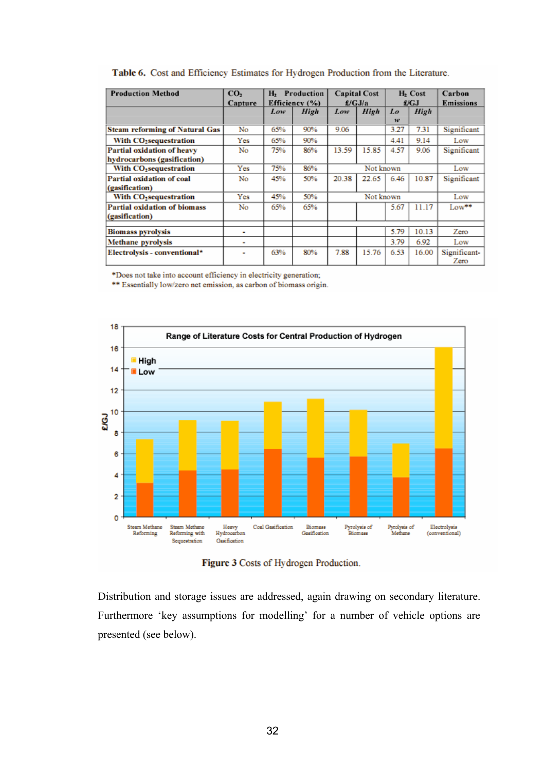| <b>Production Method</b>              | CO <sub>2</sub>          | н,             | Production |                     |           |                     |       | Carbon       |
|---------------------------------------|--------------------------|----------------|------------|---------------------|-----------|---------------------|-------|--------------|
|                                       |                          |                |            | <b>Capital Cost</b> |           | H <sub>2</sub> Cost |       |              |
|                                       | Capture                  | Efficiency (%) |            | E/GJ/a              |           | £/GJ                |       | Emissions    |
|                                       |                          | Low            | High       | Low                 | High      | Lo                  | High  |              |
|                                       |                          |                |            |                     |           | 10 <sup>o</sup>     |       |              |
| <b>Steam reforming of Natural Gas</b> | No                       | 65%            | 90%        | 9.06                |           | 3.27                | 7.31  | Significant  |
| With CO <sub>2</sub> sequestration    | Yes                      | 65%            | 90%        |                     |           | 4.41                | 9.14  | Low          |
| <b>Partial oxidation of heavy</b>     | No                       | 75%            | 86%        | 13.59               | 15.85     | 4.57                | 9.06  | Significant  |
| hydrocarbons (gasification)           |                          |                |            |                     |           |                     |       |              |
| With CO <sub>2</sub> sequestration    | Yes                      | 75%            | 86%        |                     | Not known |                     |       | Low          |
| Partial oxidation of coal             | No                       | 45%            | 50%        | 20.38               | 22.65     | 6.46                | 10.87 | Significant  |
| (gasification)                        |                          |                |            |                     |           |                     |       |              |
| With CO <sub>2</sub> sequestration    | Yes                      | 45%            | 50%        |                     | Not known |                     |       | Low          |
| Partial oxidation of biomass          | No                       | 65%            | 65%        |                     |           | 5.67                | 11.17 | Low**        |
| (gasification)                        |                          |                |            |                     |           |                     |       |              |
|                                       |                          |                |            |                     |           |                     |       |              |
| <b>Biomass pyrolysis</b>              | $\overline{\phantom{0}}$ |                |            |                     |           | 5.79                | 10.13 | Zero         |
| Methane pyrolysis                     | $\overline{\phantom{a}}$ |                |            |                     |           | 3.79                | 6.92  | Low          |
| <b>Electrolysis - conventional*</b>   | -                        | 63%            | 80%        | 7.88                | 15.76     | 6.53                | 16.00 | Significant- |
|                                       |                          |                |            |                     |           |                     |       | Zero         |

#### Table 6. Cost and Efficiency Estimates for Hydrogen Production from the Literature.

\*Does not take into account efficiency in electricity generation;

\*\* Essentially low/zero net emission, as carbon of biomass origin.



Figure 3 Costs of Hydrogen Production.

Distribution and storage issues are addressed, again drawing on secondary literature. Furthermore 'key assumptions for modelling' for a number of vehicle options are presented (see below).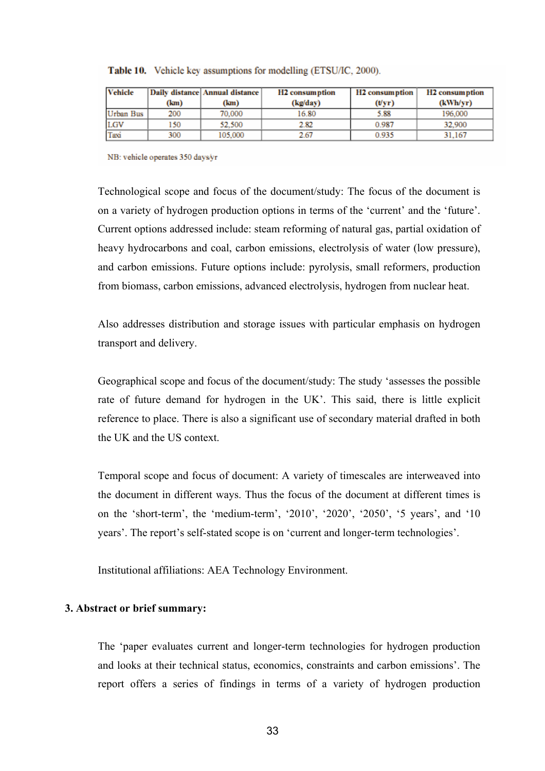| <b>Vehicle</b> | Daily distance Annual distance |         | H <sub>2</sub> consumption | H <sub>2</sub> consumption | <b>H2</b> consumption |  |
|----------------|--------------------------------|---------|----------------------------|----------------------------|-----------------------|--|
|                | (km)                           | (km)    | (kg/day)                   | (Vyr)                      | (kWh/yr)              |  |
| Urban Bus      | 200                            | 70,000  | 16.80                      | 5.88                       | 196.000               |  |
| LGV            | 150                            | 52,500  | 2.82                       | 0.987                      | 32,900                |  |
| Taxi           | 300                            | 105,000 | 2.67                       | 0.935                      | 31.167                |  |

Table 10. Vehicle key assumptions for modelling (ETSU/IC, 2000).

NB: vehicle operates 350 days/yr

Technological scope and focus of the document/study: The focus of the document is on a variety of hydrogen production options in terms of the 'current' and the 'future'. Current options addressed include: steam reforming of natural gas, partial oxidation of heavy hydrocarbons and coal, carbon emissions, electrolysis of water (low pressure), and carbon emissions. Future options include: pyrolysis, small reformers, production from biomass, carbon emissions, advanced electrolysis, hydrogen from nuclear heat.

Also addresses distribution and storage issues with particular emphasis on hydrogen transport and delivery.

Geographical scope and focus of the document/study: The study 'assesses the possible rate of future demand for hydrogen in the UK'. This said, there is little explicit reference to place. There is also a significant use of secondary material drafted in both the UK and the US context.

Temporal scope and focus of document: A variety of timescales are interweaved into the document in different ways. Thus the focus of the document at different times is on the 'short-term', the 'medium-term', '2010', '2020', '2050', '5 years', and '10 years'. The report's self-stated scope is on 'current and longer-term technologies'.

Institutional affiliations: AEA Technology Environment.

#### **3. Abstract or brief summary:**

The 'paper evaluates current and longer-term technologies for hydrogen production and looks at their technical status, economics, constraints and carbon emissions'. The report offers a series of findings in terms of a variety of hydrogen production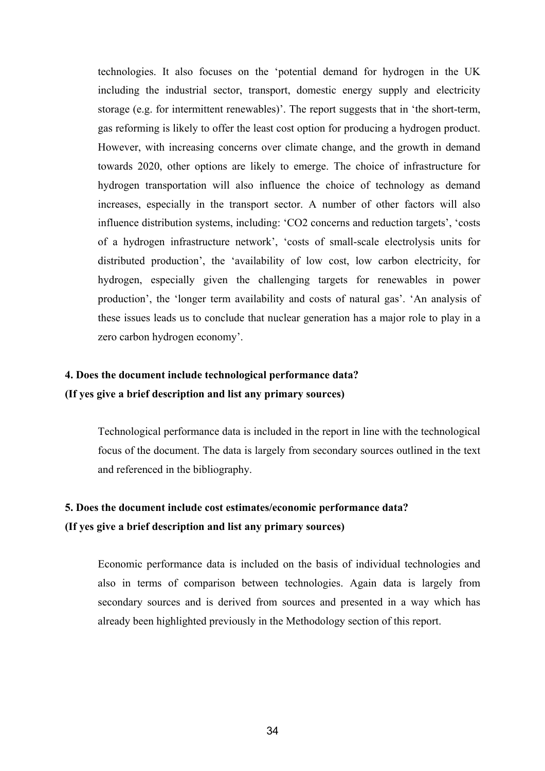technologies. It also focuses on the 'potential demand for hydrogen in the UK including the industrial sector, transport, domestic energy supply and electricity storage (e.g. for intermittent renewables)'. The report suggests that in 'the short-term, gas reforming is likely to offer the least cost option for producing a hydrogen product. However, with increasing concerns over climate change, and the growth in demand towards 2020, other options are likely to emerge. The choice of infrastructure for hydrogen transportation will also influence the choice of technology as demand increases, especially in the transport sector. A number of other factors will also influence distribution systems, including: 'CO2 concerns and reduction targets', 'costs of a hydrogen infrastructure network', 'costs of small-scale electrolysis units for distributed production', the 'availability of low cost, low carbon electricity, for hydrogen, especially given the challenging targets for renewables in power production', the 'longer term availability and costs of natural gas'. 'An analysis of these issues leads us to conclude that nuclear generation has a major role to play in a zero carbon hydrogen economy'.

### **4. Does the document include technological performance data? (If yes give a brief description and list any primary sources)**

Technological performance data is included in the report in line with the technological focus of the document. The data is largely from secondary sources outlined in the text and referenced in the bibliography.

### **5. Does the document include cost estimates/economic performance data? (If yes give a brief description and list any primary sources)**

Economic performance data is included on the basis of individual technologies and also in terms of comparison between technologies. Again data is largely from secondary sources and is derived from sources and presented in a way which has already been highlighted previously in the Methodology section of this report.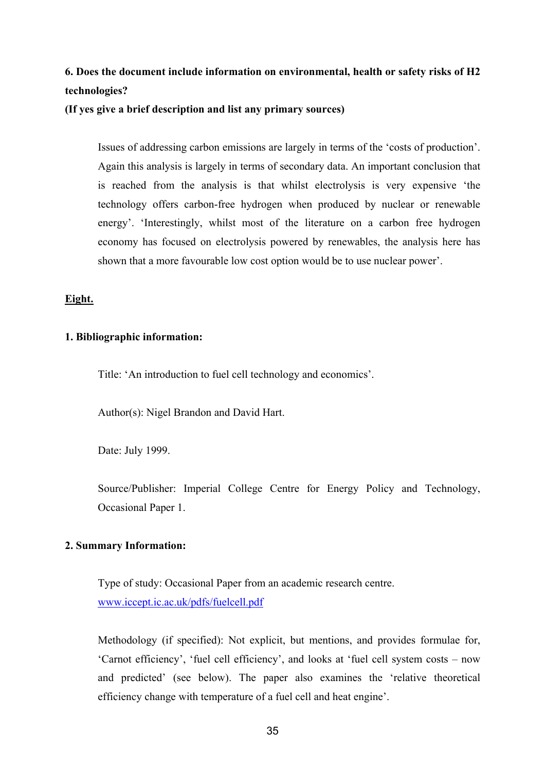### **6. Does the document include information on environmental, health or safety risks of H2 technologies?**

**(If yes give a brief description and list any primary sources)** 

Issues of addressing carbon emissions are largely in terms of the 'costs of production'. Again this analysis is largely in terms of secondary data. An important conclusion that is reached from the analysis is that whilst electrolysis is very expensive 'the technology offers carbon-free hydrogen when produced by nuclear or renewable energy'. 'Interestingly, whilst most of the literature on a carbon free hydrogen economy has focused on electrolysis powered by renewables, the analysis here has shown that a more favourable low cost option would be to use nuclear power'.

#### **Eight.**

#### **1. Bibliographic information:**

Title: 'An introduction to fuel cell technology and economics'.

Author(s): Nigel Brandon and David Hart.

Date: July 1999.

Source/Publisher: Imperial College Centre for Energy Policy and Technology, Occasional Paper 1.

#### **2. Summary Information:**

Type of study: Occasional Paper from an academic research centre. www.iccept.ic.ac.uk/pdfs/fuelcell.pdf

Methodology (if specified): Not explicit, but mentions, and provides formulae for, 'Carnot efficiency', 'fuel cell efficiency', and looks at 'fuel cell system costs – now and predicted' (see below). The paper also examines the 'relative theoretical efficiency change with temperature of a fuel cell and heat engine'.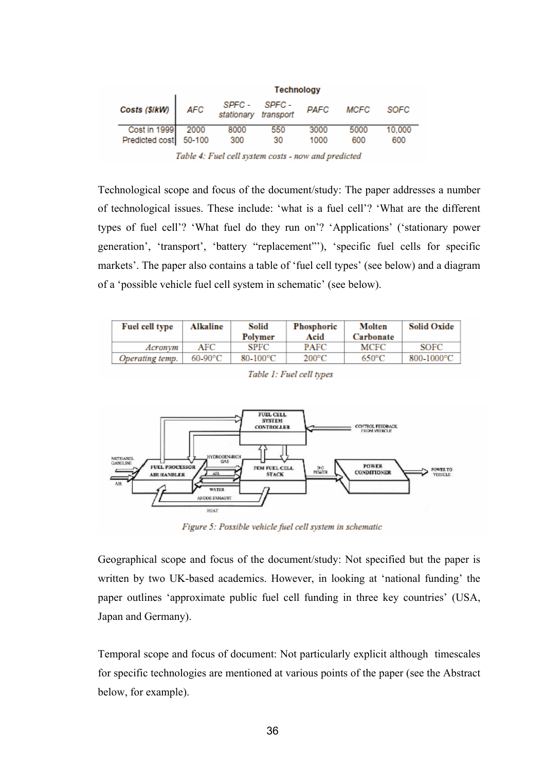|                                            | <b>Technology</b> |                                       |           |              |             |               |
|--------------------------------------------|-------------------|---------------------------------------|-----------|--------------|-------------|---------------|
| Costs (\$/kW) AFC                          |                   | SPFC - SPFC -<br>stationary transport |           | <b>PAFC</b>  | <b>MCFC</b> | SOFC          |
| Cost in 1999 2000<br>Predicted cost 50-100 |                   | 8000<br>300                           | 550<br>30 | 3000<br>1000 | 5000<br>600 | 10,000<br>600 |

Table 4: Fuel cell system costs - now and predicted

Technological scope and focus of the document/study: The paper addresses a number of technological issues. These include: 'what is a fuel cell'? 'What are the different types of fuel cell'? 'What fuel do they run on'? 'Applications' ('stationary power generation', 'transport', 'battery "replacement"'), 'specific fuel cells for specific markets'. The paper also contains a table of 'fuel cell types' (see below) and a diagram of a 'possible vehicle fuel cell system in schematic' (see below).

| Fuel cell type  | Alkaline   | Solid<br>Polymer | Phosphoric<br>Acid | <b>Molten</b><br>Carbonate | <b>Solid Oxide</b> |
|-----------------|------------|------------------|--------------------|----------------------------|--------------------|
| Acronym         | AFC        | <b>SPFC</b>      | PAFC               | MCFC                       | SOFC               |
| Operating temp. | $60-90$ °C | 80-100°C         | $200^{\circ}$ C    | $650^{\circ}$ C            | 800-1000°C         |



Table 1: Fuel cell types

Figure 5: Possible vehicle fuel cell system in schematic

Geographical scope and focus of the document/study: Not specified but the paper is written by two UK-based academics. However, in looking at 'national funding' the paper outlines 'approximate public fuel cell funding in three key countries' (USA, Japan and Germany).

Temporal scope and focus of document: Not particularly explicit although timescales for specific technologies are mentioned at various points of the paper (see the Abstract below, for example).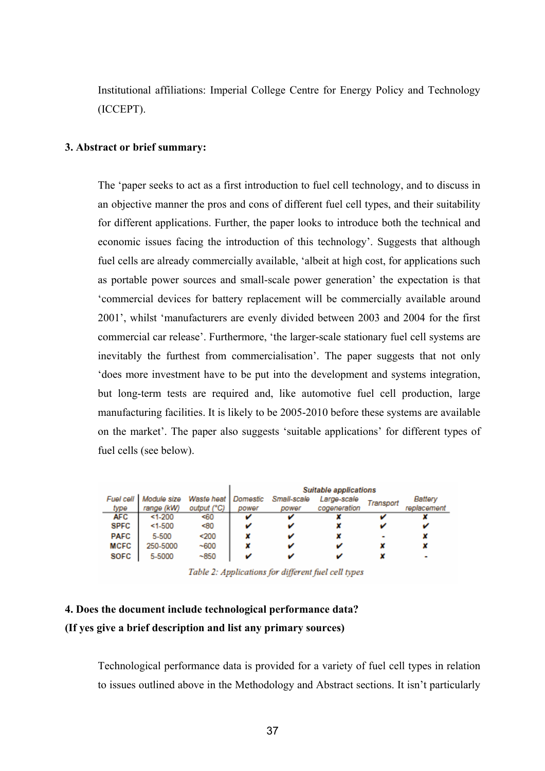Institutional affiliations: Imperial College Centre for Energy Policy and Technology (ICCEPT).

#### **3. Abstract or brief summary:**

The 'paper seeks to act as a first introduction to fuel cell technology, and to discuss in an objective manner the pros and cons of different fuel cell types, and their suitability for different applications. Further, the paper looks to introduce both the technical and economic issues facing the introduction of this technology'. Suggests that although fuel cells are already commercially available, 'albeit at high cost, for applications such as portable power sources and small-scale power generation' the expectation is that 'commercial devices for battery replacement will be commercially available around 2001', whilst 'manufacturers are evenly divided between 2003 and 2004 for the first commercial car release'. Furthermore, 'the larger-scale stationary fuel cell systems are inevitably the furthest from commercialisation'. The paper suggests that not only 'does more investment have to be put into the development and systems integration, but long-term tests are required and, like automotive fuel cell production, large manufacturing facilities. It is likely to be 2005-2010 before these systems are available on the market'. The paper also suggests 'suitable applications' for different types of fuel cells (see below).

|             |                         |                       | <b>Suitable applications</b> |             |              |           |             |
|-------------|-------------------------|-----------------------|------------------------------|-------------|--------------|-----------|-------------|
|             | Fuel cell   Module size | Waste heat   Domestic |                              | Small-scale | Large-scale  | Transport | Battery     |
| type        | range (kW)              | output (°C)           | power                        | power       | cogeneration |           | replacement |
| AFC         | $1 - 200$               | <60                   | v                            | v           |              |           |             |
| <b>SPFC</b> | $1 - 500$               | <80                   |                              | v           |              |           |             |
| <b>PAFC</b> | 5-500                   | $200$                 |                              |             |              |           |             |
| <b>MCFC</b> | 250-5000                | $-600$                |                              |             |              |           |             |
| <b>SOFC</b> | 5-5000                  | $-850$                |                              |             |              |           |             |

Table 2: Applications for different fuel cell types

### **4. Does the document include technological performance data?**

### **(If yes give a brief description and list any primary sources)**

Technological performance data is provided for a variety of fuel cell types in relation to issues outlined above in the Methodology and Abstract sections. It isn't particularly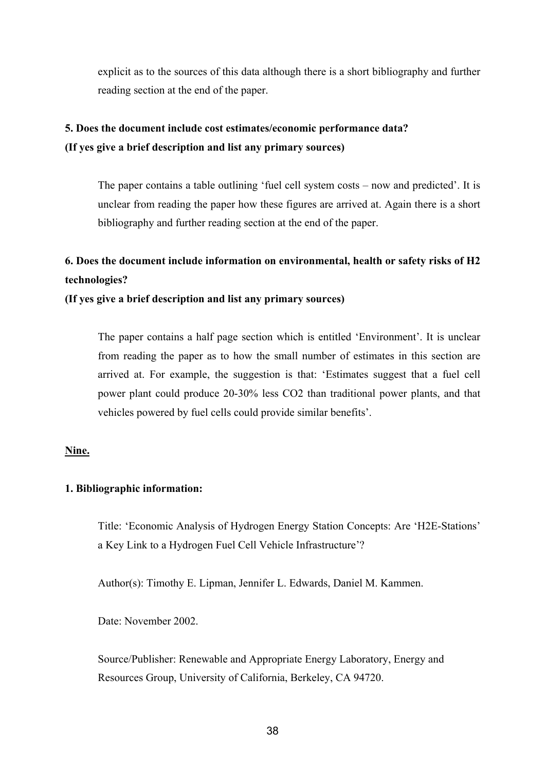explicit as to the sources of this data although there is a short bibliography and further reading section at the end of the paper.

### **5. Does the document include cost estimates/economic performance data? (If yes give a brief description and list any primary sources)**

The paper contains a table outlining 'fuel cell system costs – now and predicted'. It is unclear from reading the paper how these figures are arrived at. Again there is a short bibliography and further reading section at the end of the paper.

### **6. Does the document include information on environmental, health or safety risks of H2 technologies?**

### **(If yes give a brief description and list any primary sources)**

The paper contains a half page section which is entitled 'Environment'. It is unclear from reading the paper as to how the small number of estimates in this section are arrived at. For example, the suggestion is that: 'Estimates suggest that a fuel cell power plant could produce 20-30% less CO2 than traditional power plants, and that vehicles powered by fuel cells could provide similar benefits'.

### **Nine.**

### **1. Bibliographic information:**

Title: 'Economic Analysis of Hydrogen Energy Station Concepts: Are 'H2E-Stations' a Key Link to a Hydrogen Fuel Cell Vehicle Infrastructure'?

Author(s): Timothy E. Lipman, Jennifer L. Edwards, Daniel M. Kammen.

Date: November 2002.

Source/Publisher: Renewable and Appropriate Energy Laboratory, Energy and Resources Group, University of California, Berkeley, CA 94720.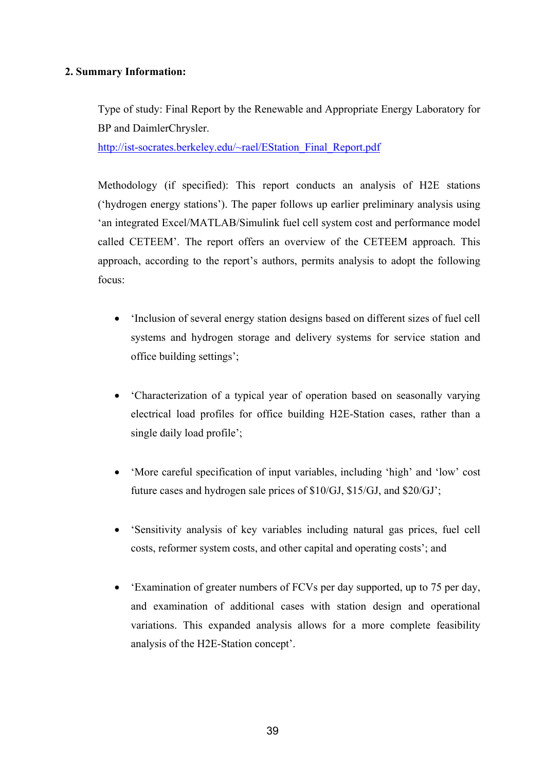### **2. Summary Information:**

Type of study: Final Report by the Renewable and Appropriate Energy Laboratory for BP and DaimlerChrysler.

http://ist-socrates.berkeley.edu/~rael/EStation\_Final\_Report.pdf

Methodology (if specified): This report conducts an analysis of H2E stations ('hydrogen energy stations'). The paper follows up earlier preliminary analysis using 'an integrated Excel/MATLAB/Simulink fuel cell system cost and performance model called CETEEM'. The report offers an overview of the CETEEM approach. This approach, according to the report's authors, permits analysis to adopt the following focus:

- 'Inclusion of several energy station designs based on different sizes of fuel cell systems and hydrogen storage and delivery systems for service station and office building settings';
- Characterization of a typical year of operation based on seasonally varying electrical load profiles for office building H2E-Station cases, rather than a single daily load profile';
- 'More careful specification of input variables, including 'high' and 'low' cost future cases and hydrogen sale prices of \$10/GJ, \$15/GJ, and \$20/GJ';
- 'Sensitivity analysis of key variables including natural gas prices, fuel cell costs, reformer system costs, and other capital and operating costs'; and
- 'Examination of greater numbers of FCVs per day supported, up to 75 per day, and examination of additional cases with station design and operational variations. This expanded analysis allows for a more complete feasibility analysis of the H2E-Station concept'.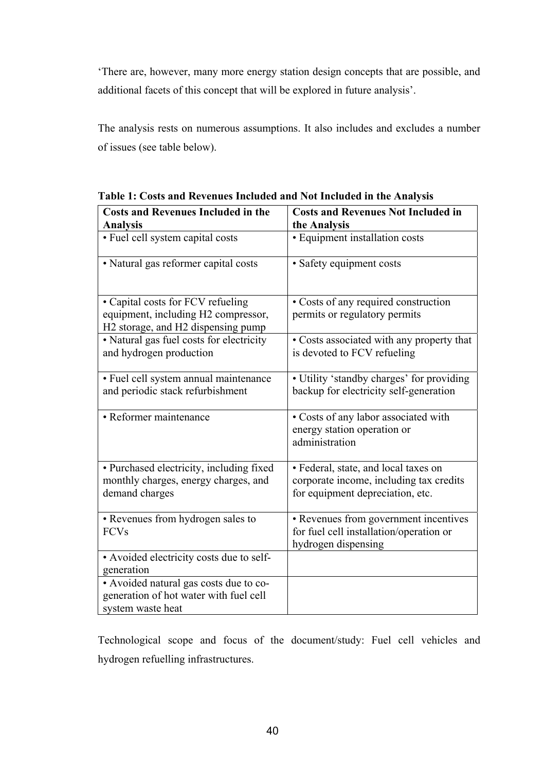'There are, however, many more energy station design concepts that are possible, and additional facets of this concept that will be explored in future analysis'.

The analysis rests on numerous assumptions. It also includes and excludes a number of issues (see table below).

| <b>Costs and Revenues Included in the</b>                                        | <b>Costs and Revenues Not Included in</b>                                             |  |  |  |
|----------------------------------------------------------------------------------|---------------------------------------------------------------------------------------|--|--|--|
| <b>Analysis</b>                                                                  | the Analysis                                                                          |  |  |  |
| · Fuel cell system capital costs                                                 | • Equipment installation costs                                                        |  |  |  |
| • Natural gas reformer capital costs                                             | · Safety equipment costs                                                              |  |  |  |
| • Capital costs for FCV refueling<br>equipment, including H2 compressor,         | • Costs of any required construction<br>permits or regulatory permits                 |  |  |  |
| H2 storage, and H2 dispensing pump                                               |                                                                                       |  |  |  |
| • Natural gas fuel costs for electricity<br>and hydrogen production              | • Costs associated with any property that<br>is devoted to FCV refueling              |  |  |  |
| • Fuel cell system annual maintenance<br>and periodic stack refurbishment        | • Utility 'standby charges' for providing<br>backup for electricity self-generation   |  |  |  |
| • Reformer maintenance                                                           | • Costs of any labor associated with<br>energy station operation or<br>administration |  |  |  |
| · Purchased electricity, including fixed                                         | · Federal, state, and local taxes on                                                  |  |  |  |
| monthly charges, energy charges, and<br>demand charges                           | corporate income, including tax credits<br>for equipment depreciation, etc.           |  |  |  |
| • Revenues from hydrogen sales to                                                | • Revenues from government incentives                                                 |  |  |  |
| <b>FCVs</b>                                                                      | for fuel cell installation/operation or<br>hydrogen dispensing                        |  |  |  |
| • Avoided electricity costs due to self-                                         |                                                                                       |  |  |  |
| generation                                                                       |                                                                                       |  |  |  |
| • Avoided natural gas costs due to co-<br>generation of hot water with fuel cell |                                                                                       |  |  |  |
| system waste heat                                                                |                                                                                       |  |  |  |

**Table 1: Costs and Revenues Included and Not Included in the Analysis** 

Technological scope and focus of the document/study: Fuel cell vehicles and hydrogen refuelling infrastructures.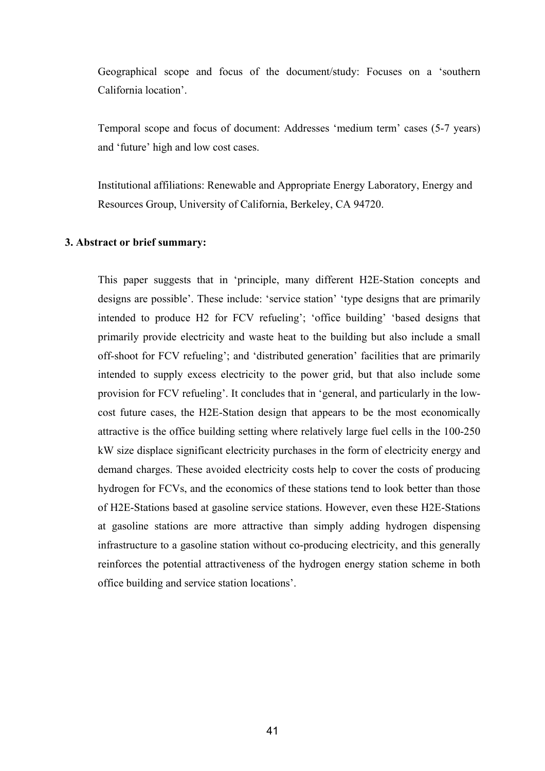Geographical scope and focus of the document/study: Focuses on a 'southern California location'.

Temporal scope and focus of document: Addresses 'medium term' cases (5-7 years) and 'future' high and low cost cases.

Institutional affiliations: Renewable and Appropriate Energy Laboratory, Energy and Resources Group, University of California, Berkeley, CA 94720.

#### **3. Abstract or brief summary:**

This paper suggests that in 'principle, many different H2E-Station concepts and designs are possible'. These include: 'service station' 'type designs that are primarily intended to produce H2 for FCV refueling'; 'office building' 'based designs that primarily provide electricity and waste heat to the building but also include a small off-shoot for FCV refueling'; and 'distributed generation' facilities that are primarily intended to supply excess electricity to the power grid, but that also include some provision for FCV refueling'. It concludes that in 'general, and particularly in the lowcost future cases, the H2E-Station design that appears to be the most economically attractive is the office building setting where relatively large fuel cells in the 100-250 kW size displace significant electricity purchases in the form of electricity energy and demand charges. These avoided electricity costs help to cover the costs of producing hydrogen for FCVs, and the economics of these stations tend to look better than those of H2E-Stations based at gasoline service stations. However, even these H2E-Stations at gasoline stations are more attractive than simply adding hydrogen dispensing infrastructure to a gasoline station without co-producing electricity, and this generally reinforces the potential attractiveness of the hydrogen energy station scheme in both office building and service station locations'.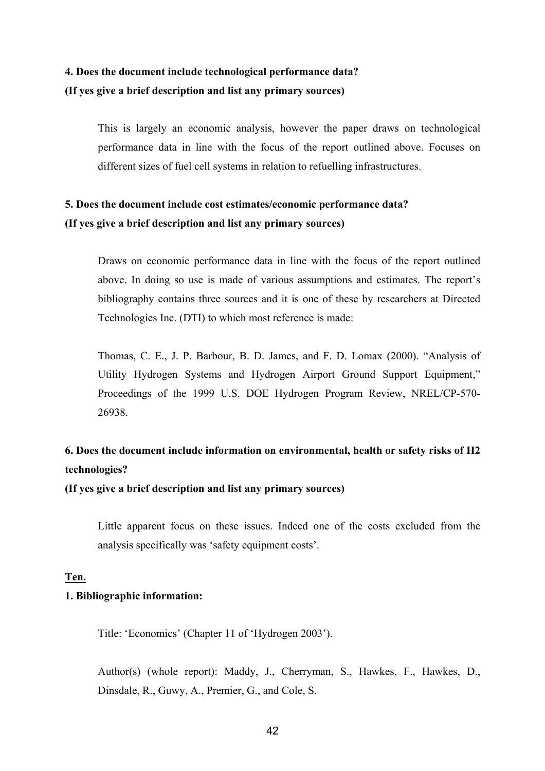### **4. Does the document include technological performance data? (If yes give a brief description and list any primary sources)**

This is largely an economic analysis, however the paper draws on technological performance data in line with the focus of the report outlined above. Focuses on different sizes of fuel cell systems in relation to refuelling infrastructures.

### **5. Does the document include cost estimates/economic performance data? (If yes give a brief description and list any primary sources)**

Draws on economic performance data in line with the focus of the report outlined above. In doing so use is made of various assumptions and estimates. The report's bibliography contains three sources and it is one of these by researchers at Directed Technologies Inc. (DTI) to which most reference is made:

Thomas, C. E., J. P. Barbour, B. D. James, and F. D. Lomax (2000). "Analysis of Utility Hydrogen Systems and Hydrogen Airport Ground Support Equipment," Proceedings of the 1999 U.S. DOE Hydrogen Program Review, NREL/CP-570- 26938.

### **6. Does the document include information on environmental, health or safety risks of H2 technologies?**

**(If yes give a brief description and list any primary sources)** 

Little apparent focus on these issues. Indeed one of the costs excluded from the analysis specifically was 'safety equipment costs'.

### **Ten.**

#### **1. Bibliographic information:**

Title: 'Economics' (Chapter 11 of 'Hydrogen 2003').

Author(s) (whole report): Maddy, J., Cherryman, S., Hawkes, F., Hawkes, D., Dinsdale, R., Guwy, A., Premier, G., and Cole, S.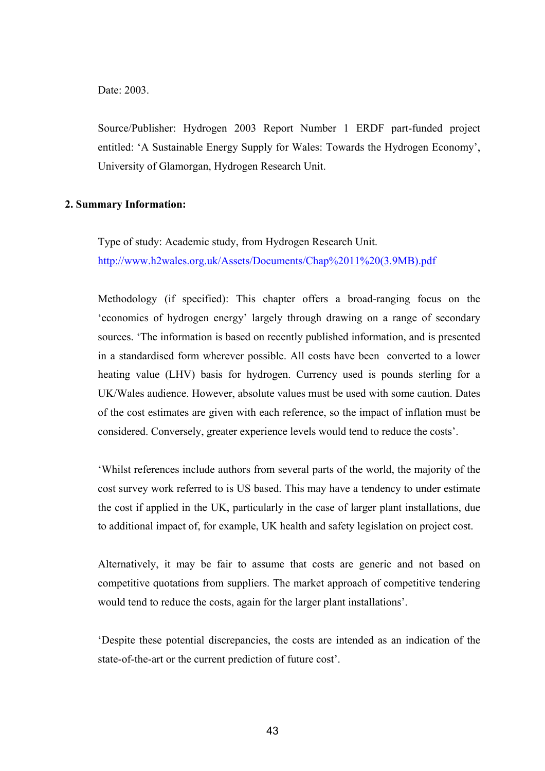#### Date: 2003.

Source/Publisher: Hydrogen 2003 Report Number 1 ERDF part-funded project entitled: 'A Sustainable Energy Supply for Wales: Towards the Hydrogen Economy', University of Glamorgan, Hydrogen Research Unit.

#### **2. Summary Information:**

Type of study: Academic study, from Hydrogen Research Unit. http://www.h2wales.org.uk/Assets/Documents/Chap%2011%20(3.9MB).pdf

Methodology (if specified): This chapter offers a broad-ranging focus on the 'economics of hydrogen energy' largely through drawing on a range of secondary sources. 'The information is based on recently published information, and is presented in a standardised form wherever possible. All costs have been converted to a lower heating value (LHV) basis for hydrogen. Currency used is pounds sterling for a UK/Wales audience. However, absolute values must be used with some caution. Dates of the cost estimates are given with each reference, so the impact of inflation must be considered. Conversely, greater experience levels would tend to reduce the costs'.

'Whilst references include authors from several parts of the world, the majority of the cost survey work referred to is US based. This may have a tendency to under estimate the cost if applied in the UK, particularly in the case of larger plant installations, due to additional impact of, for example, UK health and safety legislation on project cost.

Alternatively, it may be fair to assume that costs are generic and not based on competitive quotations from suppliers. The market approach of competitive tendering would tend to reduce the costs, again for the larger plant installations'.

'Despite these potential discrepancies, the costs are intended as an indication of the state-of-the-art or the current prediction of future cost'.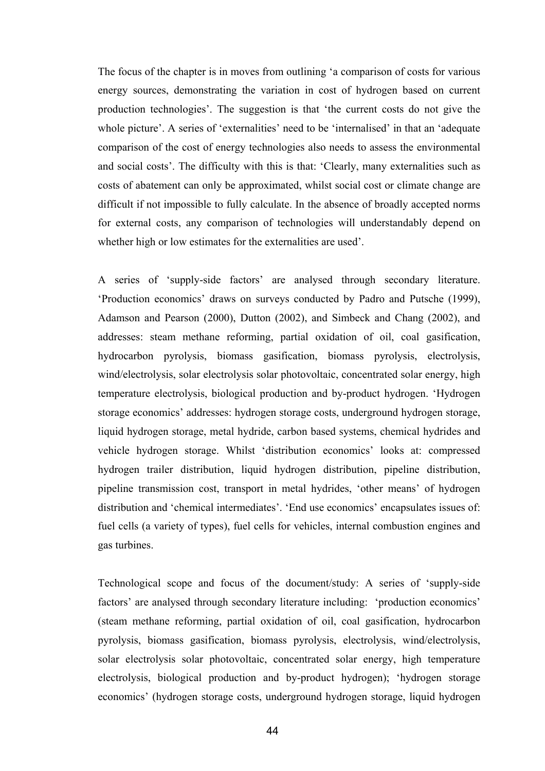The focus of the chapter is in moves from outlining 'a comparison of costs for various energy sources, demonstrating the variation in cost of hydrogen based on current production technologies'. The suggestion is that 'the current costs do not give the whole picture'. A series of 'externalities' need to be 'internalised' in that an 'adequate comparison of the cost of energy technologies also needs to assess the environmental and social costs'. The difficulty with this is that: 'Clearly, many externalities such as costs of abatement can only be approximated, whilst social cost or climate change are difficult if not impossible to fully calculate. In the absence of broadly accepted norms for external costs, any comparison of technologies will understandably depend on whether high or low estimates for the externalities are used'.

A series of 'supply-side factors' are analysed through secondary literature. 'Production economics' draws on surveys conducted by Padro and Putsche (1999), Adamson and Pearson (2000), Dutton (2002), and Simbeck and Chang (2002), and addresses: steam methane reforming, partial oxidation of oil, coal gasification, hydrocarbon pyrolysis, biomass gasification, biomass pyrolysis, electrolysis, wind/electrolysis, solar electrolysis solar photovoltaic, concentrated solar energy, high temperature electrolysis, biological production and by-product hydrogen. 'Hydrogen storage economics' addresses: hydrogen storage costs, underground hydrogen storage, liquid hydrogen storage, metal hydride, carbon based systems, chemical hydrides and vehicle hydrogen storage. Whilst 'distribution economics' looks at: compressed hydrogen trailer distribution, liquid hydrogen distribution, pipeline distribution, pipeline transmission cost, transport in metal hydrides, 'other means' of hydrogen distribution and 'chemical intermediates'. 'End use economics' encapsulates issues of: fuel cells (a variety of types), fuel cells for vehicles, internal combustion engines and gas turbines.

Technological scope and focus of the document/study: A series of 'supply-side factors' are analysed through secondary literature including: 'production economics' (steam methane reforming, partial oxidation of oil, coal gasification, hydrocarbon pyrolysis, biomass gasification, biomass pyrolysis, electrolysis, wind/electrolysis, solar electrolysis solar photovoltaic, concentrated solar energy, high temperature electrolysis, biological production and by-product hydrogen); 'hydrogen storage economics' (hydrogen storage costs, underground hydrogen storage, liquid hydrogen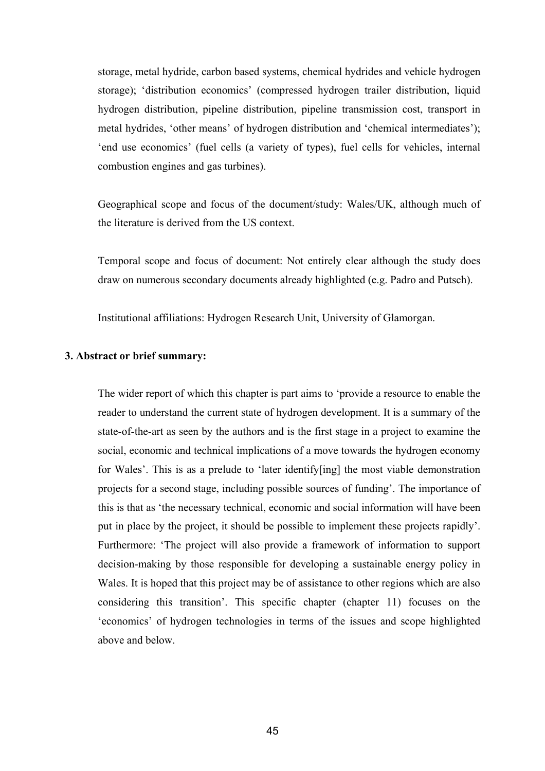storage, metal hydride, carbon based systems, chemical hydrides and vehicle hydrogen storage); 'distribution economics' (compressed hydrogen trailer distribution, liquid hydrogen distribution, pipeline distribution, pipeline transmission cost, transport in metal hydrides, 'other means' of hydrogen distribution and 'chemical intermediates'); 'end use economics' (fuel cells (a variety of types), fuel cells for vehicles, internal combustion engines and gas turbines).

Geographical scope and focus of the document/study: Wales/UK, although much of the literature is derived from the US context.

Temporal scope and focus of document: Not entirely clear although the study does draw on numerous secondary documents already highlighted (e.g. Padro and Putsch).

Institutional affiliations: Hydrogen Research Unit, University of Glamorgan.

#### **3. Abstract or brief summary:**

The wider report of which this chapter is part aims to 'provide a resource to enable the reader to understand the current state of hydrogen development. It is a summary of the state-of-the-art as seen by the authors and is the first stage in a project to examine the social, economic and technical implications of a move towards the hydrogen economy for Wales'. This is as a prelude to 'later identify[ing] the most viable demonstration projects for a second stage, including possible sources of funding'. The importance of this is that as 'the necessary technical, economic and social information will have been put in place by the project, it should be possible to implement these projects rapidly'. Furthermore: 'The project will also provide a framework of information to support decision-making by those responsible for developing a sustainable energy policy in Wales. It is hoped that this project may be of assistance to other regions which are also considering this transition'. This specific chapter (chapter 11) focuses on the 'economics' of hydrogen technologies in terms of the issues and scope highlighted above and below.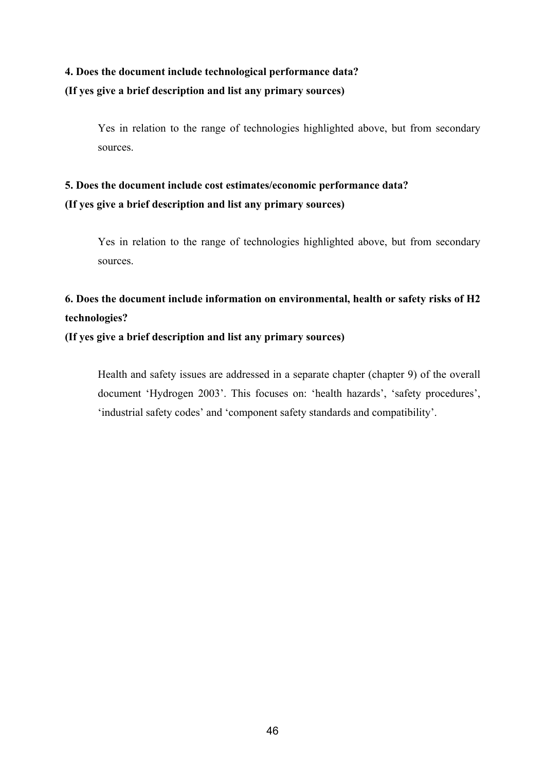### **4. Does the document include technological performance data? (If yes give a brief description and list any primary sources)**

Yes in relation to the range of technologies highlighted above, but from secondary sources.

### **5. Does the document include cost estimates/economic performance data? (If yes give a brief description and list any primary sources)**

Yes in relation to the range of technologies highlighted above, but from secondary sources.

### **6. Does the document include information on environmental, health or safety risks of H2 technologies?**

**(If yes give a brief description and list any primary sources)**

Health and safety issues are addressed in a separate chapter (chapter 9) of the overall document 'Hydrogen 2003'. This focuses on: 'health hazards', 'safety procedures', 'industrial safety codes' and 'component safety standards and compatibility'.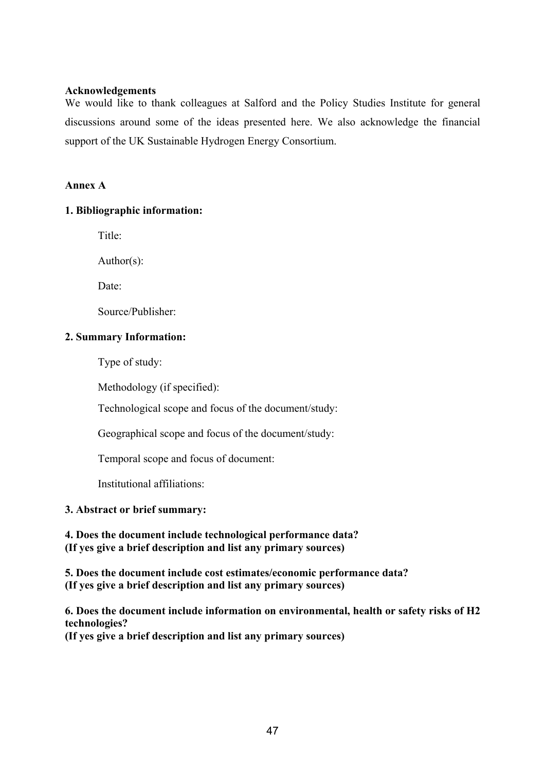### **Acknowledgements**

We would like to thank colleagues at Salford and the Policy Studies Institute for general discussions around some of the ideas presented here. We also acknowledge the financial support of the UK Sustainable Hydrogen Energy Consortium.

### **Annex A**

### **1. Bibliographic information:**

Title:

Author(s):

Date:

Source/Publisher:

### **2. Summary Information:**

Type of study:

Methodology (if specified):

Technological scope and focus of the document/study:

Geographical scope and focus of the document/study:

Temporal scope and focus of document:

Institutional affiliations:

### **3. Abstract or brief summary:**

**4. Does the document include technological performance data? (If yes give a brief description and list any primary sources)** 

**5. Does the document include cost estimates/economic performance data? (If yes give a brief description and list any primary sources)** 

**6. Does the document include information on environmental, health or safety risks of H2 technologies? (If yes give a brief description and list any primary sources)**